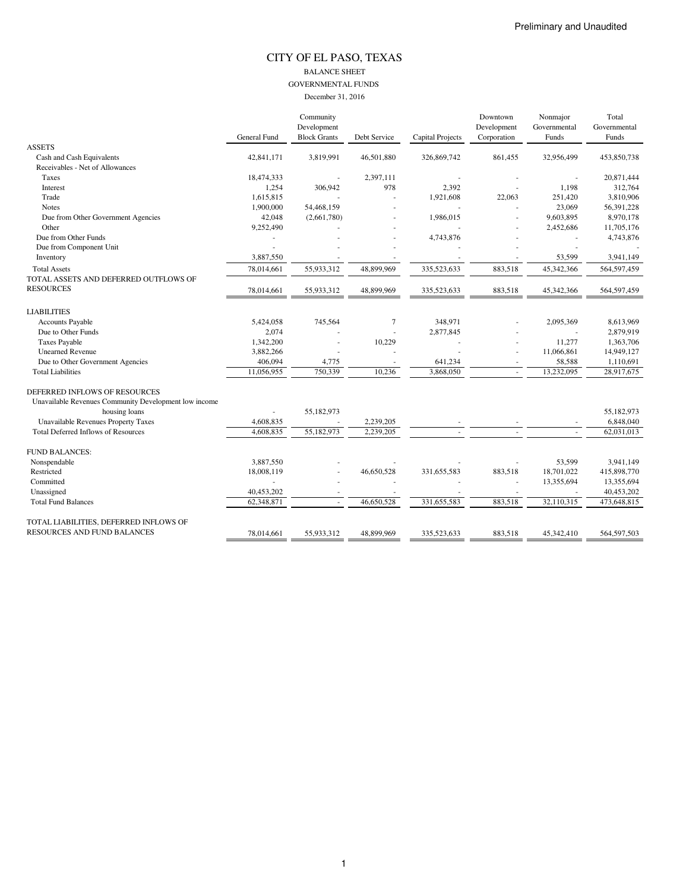#### CITY OF EL PASO, TEXAS BALANCE SHEET GOVERNMENTAL FUNDS December 31, 2016

|                                                       |                     | Community           |              |                  | Downtown    | Nonmajor     | Total        |
|-------------------------------------------------------|---------------------|---------------------|--------------|------------------|-------------|--------------|--------------|
|                                                       |                     | Development         |              |                  | Development | Governmental | Governmental |
|                                                       | <b>General Fund</b> | <b>Block Grants</b> | Debt Service | Capital Projects | Corporation | Funds        | Funds        |
| <b>ASSETS</b>                                         |                     |                     |              |                  |             |              |              |
| Cash and Cash Equivalents                             | 42,841,171          | 3,819,991           | 46,501,880   | 326,869,742      | 861,455     | 32,956,499   | 453,850,738  |
| Receivables - Net of Allowances                       |                     |                     |              |                  |             |              |              |
| Taxes                                                 | 18,474,333          |                     | 2,397,111    |                  |             |              | 20,871,444   |
| Interest                                              | 1,254               | 306,942             | 978          | 2,392            |             | 1,198        | 312,764      |
| Trade                                                 | 1,615,815           |                     |              | 1,921,608        | 22,063      | 251,420      | 3,810,906    |
| <b>Notes</b>                                          | 1,900,000           | 54,468,159          |              |                  |             | 23,069       | 56,391,228   |
| Due from Other Government Agencies                    | 42,048              | (2,661,780)         |              | 1,986,015        |             | 9,603,895    | 8,970,178    |
| Other                                                 | 9,252,490           |                     |              |                  |             | 2,452,686    | 11,705,176   |
| Due from Other Funds                                  |                     |                     |              | 4,743,876        |             |              | 4,743,876    |
| Due from Component Unit                               |                     |                     |              |                  |             |              |              |
| Inventory                                             | 3,887,550           |                     |              |                  |             | 53,599       | 3,941,149    |
| <b>Total Assets</b>                                   | 78.014.661          | 55,933,312          | 48.899.969   | 335,523,633      | 883,518     | 45,342,366   | 564,597,459  |
| TOTAL ASSETS AND DEFERRED OUTFLOWS OF                 |                     |                     |              |                  |             |              |              |
| <b>RESOURCES</b>                                      | 78,014,661          | 55,933,312          | 48,899,969   | 335,523,633      | 883,518     | 45,342,366   | 564,597,459  |
|                                                       |                     |                     |              |                  |             |              |              |
| <b>LIABILITIES</b>                                    |                     |                     |              |                  |             |              |              |
| Accounts Payable                                      | 5,424,058           | 745,564             | $\tau$       | 348,971          |             | 2,095,369    | 8,613,969    |
| Due to Other Funds                                    | 2,074               |                     |              | 2,877,845        |             |              | 2,879,919    |
| <b>Taxes Payable</b>                                  | 1,342,200           |                     | 10,229       |                  |             | 11,277       | 1,363,706    |
| <b>Unearned Revenue</b>                               | 3,882,266           |                     |              |                  |             | 11,066,861   | 14,949,127   |
| Due to Other Government Agencies                      | 406,094             | 4,775               |              | 641,234          |             | 58,588       | 1,110,691    |
| <b>Total Liabilities</b>                              | 11,056,955          | 750,339             | 10,236       | 3,868,050        |             | 13,232,095   | 28,917,675   |
|                                                       |                     |                     |              |                  |             |              |              |
| DEFERRED INFLOWS OF RESOURCES                         |                     |                     |              |                  |             |              |              |
| Unavailable Revenues Community Development low income |                     |                     |              |                  |             |              |              |
| housing loans                                         |                     | 55,182,973          |              |                  |             |              | 55,182,973   |
| <b>Unavailable Revenues Property Taxes</b>            | 4,608,835           |                     | 2,239,205    |                  |             |              | 6,848,040    |
| <b>Total Deferred Inflows of Resources</b>            | 4,608,835           | 55,182,973          | 2,239,205    |                  |             |              | 62,031,013   |
|                                                       |                     |                     |              |                  |             |              |              |
| <b>FUND BALANCES:</b>                                 |                     |                     |              |                  |             |              |              |
| Nonspendable                                          | 3,887,550           |                     |              |                  |             | 53,599       | 3,941,149    |
| Restricted                                            | 18,008,119          |                     | 46,650,528   | 331,655,583      | 883,518     | 18,701,022   | 415,898,770  |
| Committed                                             |                     |                     |              |                  |             | 13,355,694   | 13,355,694   |
| Unassigned                                            | 40,453,202          |                     |              |                  |             |              | 40,453,202   |
| <b>Total Fund Balances</b>                            | 62,348,871          | ×.                  | 46,650,528   | 331,655,583      | 883,518     | 32,110,315   | 473,648,815  |
|                                                       |                     |                     |              |                  |             |              |              |
| TOTAL LIABILITIES, DEFERRED INFLOWS OF                |                     |                     |              |                  |             |              |              |
| RESOURCES AND FUND BALANCES                           | 78.014.661          | 55,933,312          | 48,899,969   | 335,523,633      | 883,518     | 45,342,410   | 564,597,503  |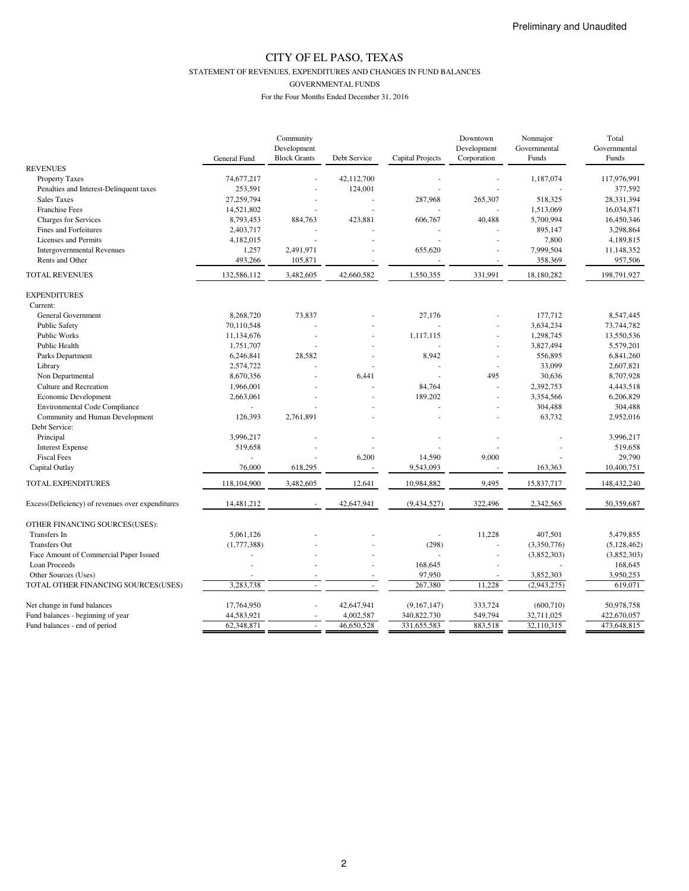STATEMENT OF REVENUES, EXPENDITURES AND CHANGES IN FUND BALANCES

GOVERNMENTAL FUNDS

| Development<br>Development<br>Governmental<br><b>Block Grants</b><br>Corporation<br>Debt Service<br><b>Capital Projects</b><br>Funds<br>General Fund<br><b>REVENUES</b> | Governmental<br>Funds<br>117,976,991 |
|-------------------------------------------------------------------------------------------------------------------------------------------------------------------------|--------------------------------------|
|                                                                                                                                                                         |                                      |
|                                                                                                                                                                         |                                      |
|                                                                                                                                                                         |                                      |
| 42,112,700<br>Property Taxes<br>74,677,217<br>1,187,074                                                                                                                 |                                      |
| Penalties and Interest-Delinquent taxes<br>253,591<br>124,001                                                                                                           | 377,592                              |
| <b>Sales Taxes</b><br>27,259,794<br>287,968<br>265,307<br>518,325                                                                                                       | 28,331,394                           |
| <b>Franchise Fees</b><br>14,521,802<br>1,513,069<br>÷,                                                                                                                  | 16,034,871                           |
| 8,793,453<br>40,488<br>5,700,994<br><b>Charges for Services</b><br>884,763<br>423,881<br>606,767                                                                        | 16,450,346                           |
| Fines and Forfeitures<br>2,403,717<br>895,147                                                                                                                           | 3,298,864                            |
| 4,182,015<br>7,800<br><b>Licenses and Permits</b>                                                                                                                       | 4,189,815                            |
| 1,257<br>7,999,504<br><b>Intergovernmental Revenues</b><br>2,491,971<br>655,620<br>÷,<br>ä,                                                                             | 11,148,352                           |
| Rents and Other<br>493,266<br>105,871<br>358,369                                                                                                                        | 957,506                              |
| <b>TOTAL REVENUES</b><br>331,991<br>132,586,112<br>3,482,605<br>42,660,582<br>1,550,355<br>18,180,282                                                                   | 198,791,927                          |
| <b>EXPENDITURES</b>                                                                                                                                                     |                                      |
| Current:                                                                                                                                                                |                                      |
| 8,268,720<br>73,837<br>27,176<br>177,712                                                                                                                                | 8,547,445                            |
| General Government                                                                                                                                                      |                                      |
| 70,110,548<br>3,634,234<br><b>Public Safety</b>                                                                                                                         | 73,744,782                           |
| <b>Public Works</b><br>11,134,676<br>1,117,115<br>1,298,745<br>÷,                                                                                                       | 13,550,536                           |
| Public Health<br>1,751,707<br>3,827,494<br>ä,                                                                                                                           | 5,579,201                            |
| 8,942<br>556,895<br>Parks Department<br>6,246,841<br>28,582<br>$\sim$                                                                                                   | 6,841,260                            |
| 2,574,722<br>33,099<br>Library<br>$\overline{\phantom{a}}$                                                                                                              | 2,607,821                            |
| 8,670,356<br>6,441<br>495<br>30,636<br>Non Departmental                                                                                                                 | 8,707,928                            |
| Culture and Recreation<br>1,966,001<br>84,764<br>2,392,753<br>ä,                                                                                                        | 4,443,518                            |
| 189,202<br>3,354,566<br>Economic Development<br>2,663,061<br>ä,                                                                                                         | 6,206,829                            |
| Environmental Code Compliance<br>304,488                                                                                                                                | 304,488                              |
| 2,761,891<br>63,732<br>Community and Human Development<br>126,393                                                                                                       | 2,952,016                            |
| Debt Service:                                                                                                                                                           |                                      |
| Principal<br>3,996,217                                                                                                                                                  | 3,996,217                            |
| <b>Interest Expense</b><br>519,658                                                                                                                                      | 519,658                              |
| <b>Fiscal Fees</b><br>14,590<br>6,200<br>9,000                                                                                                                          | 29,790                               |
| Capital Outlay<br>76,000<br>618,295<br>9,543,093<br>163,363<br>÷,<br>$\sim$                                                                                             | 10,400,751                           |
| TOTAL EXPENDITURES<br>118,104,900<br>3,482,605<br>12,641<br>10,984,882<br>9,495<br>15,837,717                                                                           | 148,432,240                          |
| 14,481,212<br>42,647,941<br>(9,434,527)<br>322,496<br>2,342,565<br>Excess(Deficiency) of revenues over expenditures                                                     | 50,359,687                           |
|                                                                                                                                                                         |                                      |
| OTHER FINANCING SOURCES(USES):                                                                                                                                          |                                      |
| Transfers In<br>5,061,126<br>11,228<br>407,501                                                                                                                          | 5,479,855                            |
| <b>Transfers Out</b><br>(1,777,388)<br>(298)<br>(3,350,776)                                                                                                             | (5, 128, 462)                        |
| Face Amount of Commercial Paper Issued<br>(3,852,303)<br>×,                                                                                                             | (3,852,303)                          |
| 168,645<br>Loan Proceeds                                                                                                                                                | 168,645                              |
| Other Sources (Uses)<br>97,950<br>3,852,303                                                                                                                             | 3,950,253                            |
| 3,283,738<br>267,380<br>11,228<br>TOTAL OTHER FINANCING SOURCES(USES)<br>(2,943,275)                                                                                    | 619,071                              |
| 17,764,950<br>42,647,941<br>(9,167,147)<br>333,724<br>Net change in fund balances<br>(600, 710)                                                                         | 50,978,758                           |
| 549,794<br>Fund balances - beginning of year<br>44,583,921<br>4,002,587<br>340,822,730<br>32,711,025                                                                    | 422,670,057                          |
| Fund balances - end of period<br>62,348,871<br>46,650,528<br>331,655,583<br>883,518<br>32,110,315                                                                       | 473,648,815                          |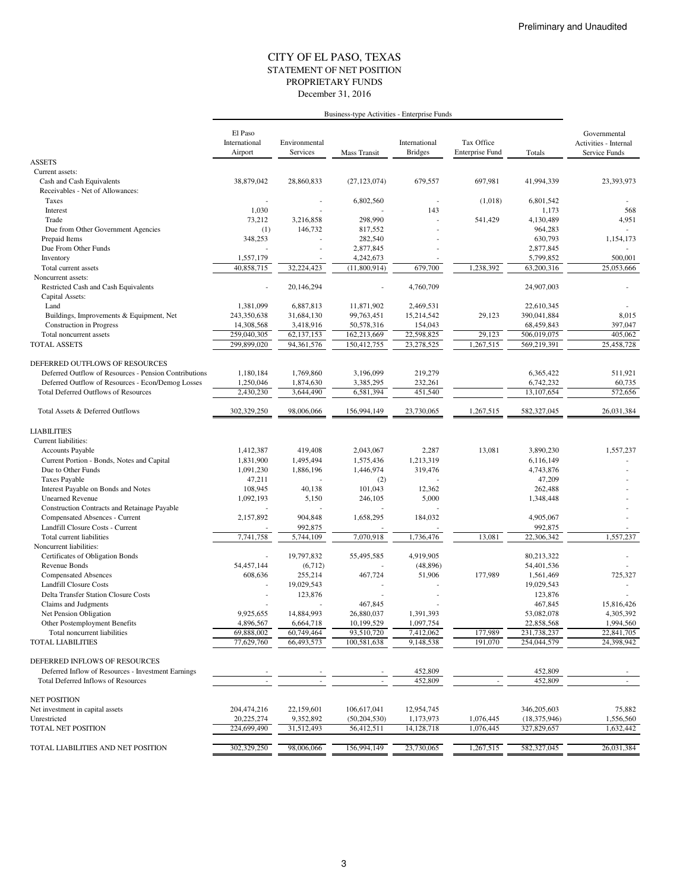#### STATEMENT OF NET POSITION CITY OF EL PASO, TEXAS December 31, 2016 PROPRIETARY FUNDS

|                                                         |                                     |                           | Business-type Activities - Enterprise Funds |                                 |                                      |                |                                                        |
|---------------------------------------------------------|-------------------------------------|---------------------------|---------------------------------------------|---------------------------------|--------------------------------------|----------------|--------------------------------------------------------|
|                                                         | El Paso<br>International<br>Airport | Environmental<br>Services | Mass Transit                                | International<br><b>Bridges</b> | Tax Office<br><b>Enterprise Fund</b> | Totals         | Governmental<br>Activities - Internal<br>Service Funds |
| <b>ASSETS</b>                                           |                                     |                           |                                             |                                 |                                      |                |                                                        |
| Current assets:                                         |                                     |                           |                                             |                                 |                                      |                |                                                        |
| Cash and Cash Equivalents                               | 38,879,042                          | 28,860,833                | (27, 123, 074)                              | 679,557                         | 697,981                              | 41,994,339     | 23,393,973                                             |
| Receivables - Net of Allowances:                        |                                     |                           |                                             |                                 |                                      |                |                                                        |
| Taxes                                                   |                                     |                           | 6,802,560                                   | $\overline{\phantom{a}}$        | (1,018)                              | 6,801,542      |                                                        |
| Interest                                                | 1,030                               |                           |                                             | 143                             |                                      | 1,173          | 568                                                    |
| Trade                                                   | 73,212                              | 3,216,858                 | 298,990                                     |                                 | 541,429                              | 4,130,489      | 4,951                                                  |
| Due from Other Government Agencies                      | (1)                                 | 146,732                   | 817,552                                     |                                 |                                      | 964,283        |                                                        |
| Prepaid Items                                           | 348,253                             |                           | 282,540                                     |                                 |                                      | 630,793        | 1,154,173                                              |
| Due From Other Funds                                    |                                     |                           | 2,877,845                                   |                                 |                                      | 2,877,845      |                                                        |
| Inventory                                               | 1,557,179                           |                           | 4,242,673                                   |                                 |                                      | 5,799,852      | 500,001                                                |
| Total current assets                                    | 40,858,715                          | 32.224,423                | (11,800,914)                                | 679,700                         | 1,238,392                            | 63,200,316     | 25,053,666                                             |
| Noncurrent assets:                                      |                                     |                           |                                             |                                 |                                      |                |                                                        |
| Restricted Cash and Cash Equivalents<br>Capital Assets: |                                     | 20,146,294                |                                             | 4,760,709                       |                                      | 24,907,003     |                                                        |
| Land                                                    | 1,381,099                           | 6,887,813                 | 11,871,902                                  | 2,469,531                       |                                      | 22,610,345     |                                                        |
| Buildings, Improvements & Equipment, Net                | 243,350,638                         | 31,684,130                | 99,763,451                                  | 15,214,542                      | 29,123                               | 390,041,884    | 8,015                                                  |
| <b>Construction</b> in Progress                         | 14,308,568                          | 3,418,916                 | 50,578,316                                  | 154,043                         |                                      | 68,459,843     | 397,047                                                |
| Total noncurrent assets                                 | 259,040,305                         | 62,137,153                | 162,213,669                                 | 22,598,825                      | 29,123                               | 506,019,075    | 405,062                                                |
| <b>TOTAL ASSETS</b>                                     | 299,899,020                         | 94,361,576                | 150,412,755                                 | 23,278,525                      | 1,267,515                            | 569,219,391    | 25,458,728                                             |
| DEFERRED OUTFLOWS OF RESOURCES                          |                                     |                           |                                             |                                 |                                      |                |                                                        |
| Deferred Outflow of Resources - Pension Contributions   | 1,180,184                           | 1.769.860                 | 3,196,099                                   | 219,279                         |                                      | 6,365,422      | 511,921                                                |
| Deferred Outflow of Resources - Econ/Demog Losses       | 1,250,046                           | 1,874,630                 | 3,385,295                                   | 232,261                         |                                      | 6,742,232      | 60,735                                                 |
| <b>Total Deferred Outflows of Resources</b>             | 2,430,230                           | 3,644,490                 | 6,581,394                                   | 451,540                         |                                      | 13,107,654     | 572,656                                                |
| Total Assets & Deferred Outflows                        | 302,329,250                         | 98,006,066                | 156,994,149                                 | 23,730,065                      | 1,267,515                            | 582,327,045    | 26,031,384                                             |
| <b>LIABILITIES</b>                                      |                                     |                           |                                             |                                 |                                      |                |                                                        |
| Current liabilities:                                    |                                     |                           |                                             |                                 |                                      |                |                                                        |
| Accounts Payable                                        | 1,412,387                           | 419,408                   | 2,043,067                                   | 2,287                           | 13,081                               | 3,890,230      | 1,557,237                                              |
| Current Portion - Bonds, Notes and Capital              | 1,831,900                           | 1,495,494                 | 1,575,436                                   | 1,213,319                       |                                      | 6,116,149      |                                                        |
| Due to Other Funds                                      | 1,091,230                           | 1,886,196                 | 1,446,974                                   | 319,476                         |                                      | 4,743,876      |                                                        |
| <b>Taxes Payable</b>                                    | 47,211                              |                           | (2)                                         |                                 |                                      | 47,209         |                                                        |
| Interest Payable on Bonds and Notes                     | 108,945                             | 40,138                    | 101,043                                     | 12,362                          |                                      | 262,488        |                                                        |
| <b>Unearned Revenue</b>                                 | 1,092,193                           | 5,150                     | 246,105                                     | 5,000                           |                                      | 1,348,448      |                                                        |
| Construction Contracts and Retainage Payable            |                                     |                           |                                             |                                 |                                      |                |                                                        |
| Compensated Absences - Current                          | 2,157,892                           | 904,848                   | 1,658,295                                   | 184,032                         |                                      | 4,905,067      |                                                        |
| Landfill Closure Costs - Current                        |                                     | 992,875                   |                                             |                                 |                                      | 992,875        |                                                        |
| Total current liabilities                               | 7,741,758                           | 5,744,109                 | 7,070,918                                   | 1,736,476                       | 13,081                               | 22,306,342     | 1,557,237                                              |
| Noncurrent liabilities:                                 |                                     |                           |                                             |                                 |                                      |                |                                                        |
| Certificates of Obligation Bonds                        |                                     | 19,797,832                | 55,495,585                                  | 4,919,905                       |                                      | 80.213.322     |                                                        |
| Revenue Bonds                                           | 54,457,144                          | (6,712)                   |                                             | (48, 896)                       |                                      | 54,401,536     |                                                        |
| <b>Compensated Absences</b>                             | 608,636                             | 255,214                   | 467,724                                     | 51,906                          | 177,989                              | 1,561,469      | 725,327                                                |
| <b>Landfill Closure Costs</b>                           |                                     | 19,029,543                |                                             |                                 |                                      | 19,029,543     |                                                        |
| Delta Transfer Station Closure Costs                    |                                     | 123,876                   |                                             |                                 |                                      | 123,876        |                                                        |
| Claims and Judgments                                    |                                     |                           | 467,845                                     |                                 |                                      | 467,845        | 15,816,426                                             |
| Net Pension Obligation                                  | 9,925,655                           | 14,884,993                | 26,880,037                                  | 1,391,393                       |                                      | 53,082,078     | 4,305,392                                              |
| Other Postemployment Benefits                           | 4,896,567                           | 6,664,718                 | 10,199,529                                  | 1,097,754                       |                                      | 22,858,568     | 1,994,560                                              |
| Total noncurrent liabilities                            | 69,888,002                          | 60,749,464                | 93,510,720                                  | 7,412,062                       | 177,989                              | 231,738,237    | 22,841,705                                             |
| <b>TOTAL LIABILITIES</b>                                | 77,629,760                          | 66,493,573                | 100,581,638                                 | 9,148,538                       | 191,070                              | 254,044,579    | 24,398,942                                             |
| DEFERRED INFLOWS OF RESOURCES                           |                                     |                           |                                             |                                 |                                      |                |                                                        |
| Deferred Inflow of Resources - Investment Earnings      |                                     |                           |                                             | 452,809                         |                                      | 452,809        |                                                        |
| <b>Total Deferred Inflows of Resources</b>              |                                     |                           |                                             | 452,809                         | $\overline{\phantom{a}}$             | 452,809        |                                                        |
| <b>NET POSITION</b>                                     |                                     |                           |                                             |                                 |                                      |                |                                                        |
| Net investment in capital assets                        | 204,474,216                         | 22,159,601                | 106,617,041                                 | 12,954,745                      |                                      | 346,205,603    | 75,882                                                 |
| Unrestricted                                            | 20,225,274                          | 9,352,892                 | (50, 204, 530)                              | 1,173,973                       | 1,076,445                            | (18, 375, 946) | 1,556,560                                              |
| TOTAL NET POSITION                                      | 224,699,490                         | 31,512,493                | 56,412,511                                  | 14,128,718                      | 1,076,445                            | 327,829,657    | 1,632,442                                              |
|                                                         |                                     |                           |                                             |                                 |                                      |                |                                                        |
| TOTAL LIABILITIES AND NET POSITION                      | 302,329,250                         | 98,006,066                | 156,994,149                                 | 23,730,065                      | 1,267,515                            | 582,327,045    | 26,031,384                                             |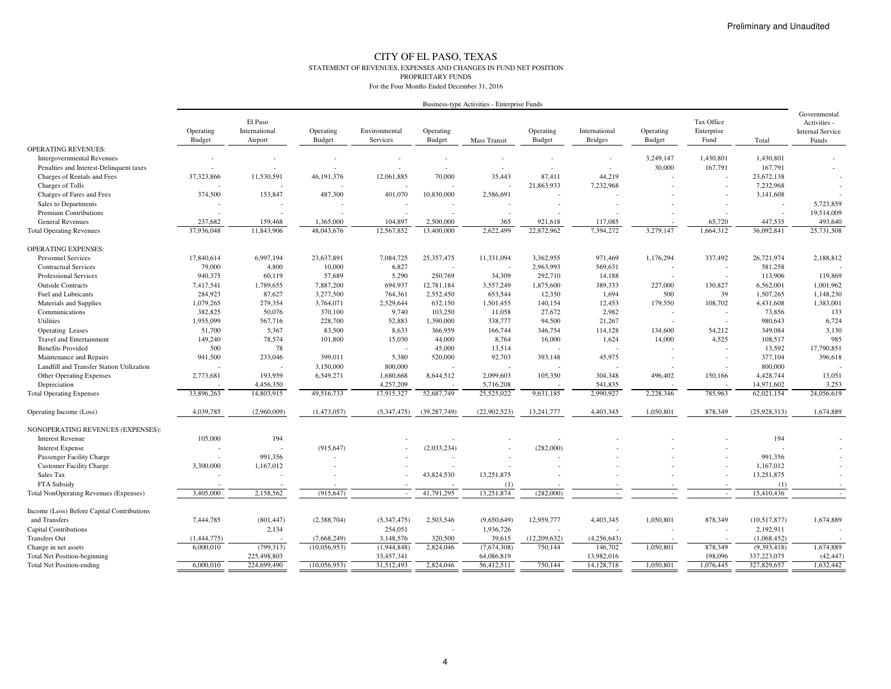#### CITY OF EL PASO, TEXAS STATEMENT OF REVENUES, EXPENSES AND CHANGES IN FUND NET POSITIONPROPRIETARY FUNDSFor the Four Months Ended December 31, 2016

| Business-type Activities - Enterprise Funds |  |  |
|---------------------------------------------|--|--|

|                                               |               | El Paso                  |               |                          |                          |                     |               |                |               | Tax Office               |              | Governmental                            |
|-----------------------------------------------|---------------|--------------------------|---------------|--------------------------|--------------------------|---------------------|---------------|----------------|---------------|--------------------------|--------------|-----------------------------------------|
|                                               | Operating     | International            | Operating     | Environmental            | Operating                |                     | Operating     | International  | Operating     | Enterprise               |              | Activities -<br><b>Internal Service</b> |
|                                               | <b>Budget</b> | Airport                  | <b>Budget</b> | Services                 | <b>Budget</b>            | <b>Mass Transit</b> | <b>Budget</b> | <b>Bridges</b> | <b>Budget</b> | Fund                     | Total        | Funds                                   |
| <b>OPERATING REVENUES:</b>                    |               |                          |               |                          |                          |                     |               |                |               |                          |              |                                         |
| <b>Intergovernmental Revenues</b>             |               |                          |               |                          |                          |                     |               |                | 3,249,147     | 1,430,801                | 1,430,801    |                                         |
| Penalties and Interest-Delinquent taxes       |               |                          |               | $\overline{\phantom{a}}$ | $\overline{\phantom{a}}$ |                     |               | ÷              | 30,000        | 167,791                  | 167,791      |                                         |
| Charges of Rentals and Fees                   | 37,323,866    | 11,530,591               | 46,191,376    | 12,061,885               | 70,000                   | 35,443              | 87.411        | 44,219         |               |                          | 23,672,138   |                                         |
| Charges of Tolls                              |               |                          |               |                          |                          |                     | 21,863,933    | 7,232,968      |               |                          | 7,232,968    |                                         |
| Charges of Fares and Fees                     | 374,500       | 153,847                  | 487,300       | 401,070                  | 10,830,000               | 2,586,691           |               |                |               |                          | 3,141,608    |                                         |
| Sales to Departments                          |               |                          |               |                          |                          |                     |               |                |               |                          |              | 5,723,859                               |
| Premium Contributions                         |               | $\sim$                   |               |                          |                          |                     |               |                |               |                          | $\sim$       | 19,514,009                              |
| <b>General Revenues</b>                       | 237,682       | 159,468                  | 1,365,000     | 104,897                  | 2,500,000                | 365                 | 921,618       | 117,085        |               | 65,720                   | 447,535      | 493,640                                 |
| <b>Total Operating Revenues</b>               | 37,936,048    | 11,843,906               | 48,043,676    | 12,567,852               | 13,400,000               | 2.622.499           | 22,872,962    | 7.394.272      | 3,279,147     | 1.664.312                | 36,092,841   | 25,731,508                              |
| <b>OPERATING EXPENSES:</b>                    |               |                          |               |                          |                          |                     |               |                |               |                          |              |                                         |
| <b>Personnel Services</b>                     | 17,840,614    | 6,997,194                | 23,637,891    | 7,084,725                | 25,357,475               | 11,331,094          | 3,362,955     | 971,469        | 1,176,294     | 337,492                  | 26,721,974   | 2,188,812                               |
| <b>Contractual Services</b>                   | 79,000        | 4,800                    | 10,000        | 6,827                    |                          |                     | 2,963,993     | 569,631        |               |                          | 581,258      |                                         |
| Professional Services                         | 940,375       | 60,119                   | 57,689        | 5,290                    | 250,769                  | 34,309              | 292,710       | 14,188         |               |                          | 113,906      | 119,869                                 |
| <b>Outside Contracts</b>                      | 7,417,541     | 1,789,655                | 7,887,200     | 694,937                  | 12,781,184               | 3,557,249           | 1,875,600     | 389,333        | 227,000       | 130,827                  | 6,562,001    | 1,001,962                               |
| Fuel and Lubricants                           | 284,923       | 87,627                   | 3,277,500     | 764,361                  | 2,552,450                | 653,544             | 12,350        | 1,694          | 500           | 39                       | 1,507,265    | 1,148,230                               |
| Materials and Supplies                        | 1,079,265     | 279,354                  | 3,764,071     | 2,529,644                | 632,150                  | 1,501,455           | 140,154       | 12,453         | 179,550       | 108,702                  | 4,431,608    | 1,383,001                               |
| Communications                                | 382,825       | 50,076                   | 370,100       | 9,740                    | 103,250                  | 11,058              | 27,672        | 2,982          |               |                          | 73,856       | 133                                     |
| Utilities                                     | 1,955,099     | 567,716                  | 228,700       | 52,883                   | 1,390,000                | 338,777             | 94,500        | 21,267         |               |                          | 980,643      | 6,724                                   |
| Operating Leases                              | 51,700        | 5,367                    | 83,500        | 8,633                    | 366,959                  | 166,744             | 346,754       | 114,128        | 134,600       | 54,212                   | 349,084      | 3,130                                   |
| <b>Travel and Entertainment</b>               | 149,240       | 78,574                   | 101,800       | 15,030                   | 44,000                   | 8,764               | 16,000        | 1,624          | 14,000        | 4.525                    | 108,517      | 985                                     |
| <b>Benefits Provided</b>                      | 500           | 78                       |               |                          | 45,000                   | 13.514              |               |                |               |                          | 13,592       | 17,790,851                              |
| Maintenance and Repairs                       | 941,500       | 233,046                  | 399,011       | 5,380                    | 520,000                  | 92,703              | 393,148       | 45,975         |               | $\overline{\phantom{a}}$ | 377,104      | 396,618                                 |
| Landfill and Transfer Station Utilization     |               |                          | 3,150,000     | 800,000                  |                          |                     |               |                |               |                          | 800,000      |                                         |
| Other Operating Expenses                      | 2,773,681     | 193,959                  | 6,549,271     | 1,680,668                | 8,644,512                | 2,099,603           | 105,350       | 304,348        | 496,402       | 150,166                  | 4,428,744    | 13,051                                  |
| Depreciation                                  |               | 4,456,350                |               | 4,257,209                |                          | 5,716,208           |               | 541,835        |               |                          | 14,971,602   | 3,253                                   |
| <b>Total Operating Expenses</b>               | 33,896,263    | 14,803,915               | 49,516,733    | 17,915,327               | 52,687,749               | 25,525,022          | 9,631,185     | 2,990,927      | 2,228,346     | 785,963                  | 62,021,154   | 24,056,619                              |
| Operating Income (Loss)                       | 4,039,785     | (2,960,009)              | (1,473,057)   | (5,347,475)              | (39, 287, 749)           | (22, 902, 523)      | 13,241,777    | 4,403,345      | 1,050,801     | 878,349                  | (25,928,313) | 1,674,889                               |
| NONOPERATING REVENUES (EXPENSES):             |               |                          |               |                          |                          |                     |               |                |               |                          |              |                                         |
| <b>Interest Revenue</b>                       | 105,000       | 194                      |               |                          |                          |                     |               |                |               |                          | 194          |                                         |
| <b>Interest Expense</b>                       |               | $\overline{\phantom{a}}$ | (915, 647)    |                          | (2,033,234)              |                     | (282,000)     |                |               |                          |              |                                         |
| Passenger Facility Charge                     |               | 991,356                  |               |                          |                          |                     |               |                |               |                          | 991,356      |                                         |
| <b>Customer Facility Charge</b>               | 3,300,000     | 1,167,012                |               |                          |                          |                     |               |                |               |                          | 1,167,012    |                                         |
| Sales Tax                                     |               |                          |               |                          | 43,824,530               | 13,251,875          |               |                |               |                          | 13,251,875   | $\sim$                                  |
| FTA Subsidy                                   |               |                          |               |                          |                          | (1)                 |               |                |               |                          | (1)          |                                         |
| <b>Total NonOperating Revenues (Expenses)</b> | 3,405,000     | 2,158,562                | (915.647)     |                          | 41,791,295               | 13,251,874          | (282,000)     |                |               |                          | 15,410,436   | $\sim$                                  |
| Income (Loss) Before Capital Contributions    |               |                          |               |                          |                          |                     |               |                |               |                          |              |                                         |
| and Transfers                                 | 7,444,785     | (801, 447)               | (2,388,704)   | (5,347,475)              | 2,503,546                | (9,650,649)         | 12,959,777    | 4,403,345      | 1,050,801     | 878,349                  | (10,517,877) | 1,674,889                               |
| <b>Capital Contributions</b>                  |               | 2,134                    |               | 254,051                  |                          | 1,936,726           |               |                |               |                          | 2,192,911    |                                         |
| <b>Transfers Out</b>                          | (1, 444, 775) |                          | (7,668,249)   | 3,148,576                | 320,500                  | 39,615              | (12,209,632)  | (4,256,643)    |               |                          | (1,068,452)  |                                         |
| Change in net assets                          | 6,000,010     | (799, 313)               | (10,056,953)  | (1,944,848)              | 2,824,046                | (7,674,308)         | 750,144       | 146,702        | 1,050,801     | 878,349                  | (9,393,418)  | 1,674,889                               |
| <b>Total Net Position-beginning</b>           |               | 225,498,803              |               | 33,457,341               |                          | 64,086,819          |               | 13,982,016     |               | 198,096                  | 337,223,075  | (42, 447)                               |
| <b>Total Net Position-ending</b>              | 6,000,010     | 224,699,490              | (10,056,953)  | 31,512,493               | 2,824,046                | 56,412,511          | 750,144       | 14, 128, 718   | 1,050,801     | 1,076,445                | 327,829,657  | 1,632,442                               |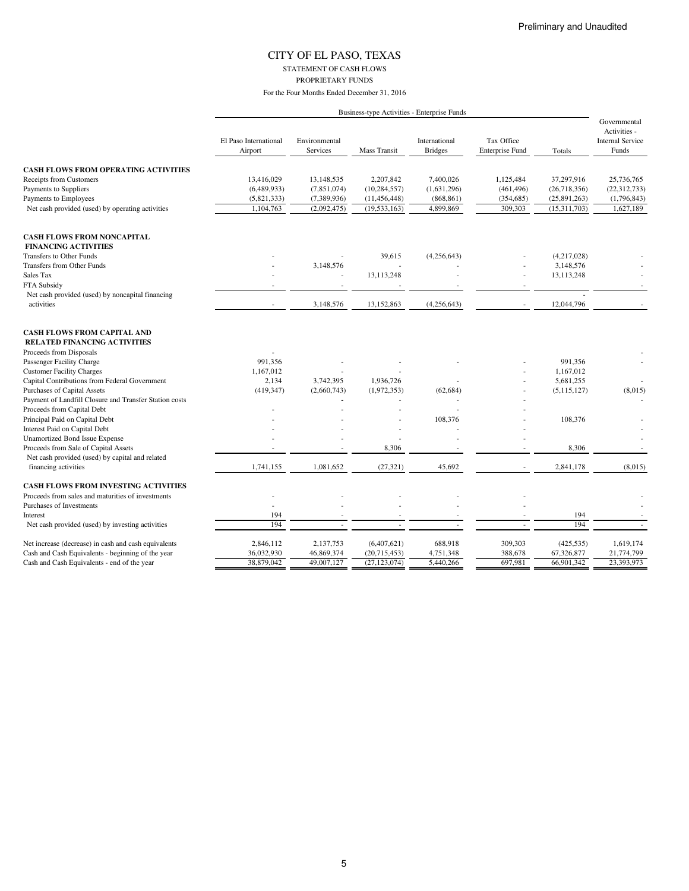STATEMENT OF CASH FLOWS

PROPRIETARY FUNDS

|                                                                    | Business-type Activities - Enterprise Funds |                                  |                     |                                 |                                      |                |                                                                  |
|--------------------------------------------------------------------|---------------------------------------------|----------------------------------|---------------------|---------------------------------|--------------------------------------|----------------|------------------------------------------------------------------|
|                                                                    | El Paso International<br>Airport            | Environmental<br><b>Services</b> | <b>Mass Transit</b> | International<br><b>Bridges</b> | Tax Office<br><b>Enterprise Fund</b> | Totals         | Governmental<br>Activities -<br><b>Internal Service</b><br>Funds |
| <b>CASH FLOWS FROM OPERATING ACTIVITIES</b>                        |                                             |                                  |                     |                                 |                                      |                |                                                                  |
| Receipts from Customers                                            | 13,416,029                                  | 13,148,535                       | 2,207,842           | 7,400,026                       | 1,125,484                            | 37,297,916     | 25,736,765                                                       |
| Payments to Suppliers                                              | (6,489,933)                                 | (7,851,074)                      | (10, 284, 557)      | (1,631,296)                     | (461, 496)                           | (26, 718, 356) | (22, 312, 733)                                                   |
| Payments to Employees                                              | (5,821,333)                                 | (7,389,936)                      | (11, 456, 448)      | (868, 861)                      | (354, 685)                           | (25,891,263)   | (1,796,843)                                                      |
| Net cash provided (used) by operating activities                   | 1,104,763                                   | (2,092,475)                      | (19, 533, 163)      | 4,899,869                       | 309,303                              | (15,311,703)   | 1,627,189                                                        |
| <b>CASH FLOWS FROM NONCAPITAL</b>                                  |                                             |                                  |                     |                                 |                                      |                |                                                                  |
| <b>FINANCING ACTIVITIES</b>                                        |                                             |                                  |                     |                                 |                                      |                |                                                                  |
| Transfers to Other Funds                                           |                                             |                                  | 39,615              | (4,256,643)                     |                                      | (4,217,028)    |                                                                  |
| Transfers from Other Funds                                         |                                             | 3,148,576                        |                     |                                 |                                      | 3,148,576      |                                                                  |
| Sales Tax                                                          |                                             |                                  | 13,113,248          |                                 | ä,                                   | 13,113,248     |                                                                  |
| FTA Subsidy                                                        |                                             |                                  |                     |                                 | $\sim$                               |                |                                                                  |
| Net cash provided (used) by noncapital financing                   |                                             |                                  |                     |                                 |                                      |                |                                                                  |
| activities                                                         | $\sim$                                      | 3,148,576                        | 13,152,863          | (4,256,643)                     | $\sim$                               | 12,044,796     |                                                                  |
| <b>CASH FLOWS FROM CAPITAL AND</b><br>RELATED FINANCING ACTIVITIES |                                             |                                  |                     |                                 |                                      |                |                                                                  |
| Proceeds from Disposals                                            |                                             |                                  |                     |                                 |                                      |                |                                                                  |
| Passenger Facility Charge                                          | 991,356                                     |                                  |                     |                                 |                                      | 991,356        |                                                                  |
| <b>Customer Facility Charges</b>                                   | 1,167,012                                   |                                  |                     |                                 |                                      | 1,167,012      |                                                                  |
| Capital Contributions from Federal Government                      | 2.134                                       | 3,742,395                        | 1,936,726           |                                 |                                      | 5,681,255      |                                                                  |
| Purchases of Capital Assets                                        | (419, 347)                                  | (2,660,743)                      | (1,972,353)         | (62, 684)                       |                                      | (5,115,127)    | (8,015)                                                          |
| Payment of Landfill Closure and Transfer Station costs             |                                             |                                  |                     |                                 |                                      |                |                                                                  |
| Proceeds from Capital Debt                                         |                                             |                                  |                     |                                 |                                      |                |                                                                  |
| Principal Paid on Capital Debt                                     |                                             |                                  |                     | 108,376                         |                                      | 108,376        |                                                                  |
| Interest Paid on Capital Debt                                      |                                             |                                  |                     |                                 |                                      |                |                                                                  |
| <b>Unamortized Bond Issue Expense</b>                              |                                             |                                  |                     |                                 |                                      |                |                                                                  |
| Proceeds from Sale of Capital Assets                               |                                             |                                  | 8,306               |                                 |                                      | 8,306          |                                                                  |
| Net cash provided (used) by capital and related                    |                                             |                                  |                     |                                 |                                      |                |                                                                  |
| financing activities                                               | 1,741,155                                   | 1,081,652                        | (27, 321)           | 45,692                          |                                      | 2,841,178      | (8,015)                                                          |
| <b>CASH FLOWS FROM INVESTING ACTIVITIES</b>                        |                                             |                                  |                     |                                 |                                      |                |                                                                  |
| Proceeds from sales and maturities of investments                  |                                             |                                  |                     |                                 |                                      |                |                                                                  |
| Purchases of Investments                                           |                                             |                                  |                     |                                 |                                      |                |                                                                  |
| Interest                                                           | 194                                         |                                  |                     |                                 |                                      | 194            |                                                                  |
| Net cash provided (used) by investing activities                   | 194                                         |                                  |                     | $\overline{a}$                  |                                      | 194            |                                                                  |
| Net increase (decrease) in cash and cash equivalents               | 2,846,112                                   | 2,137,753                        | (6,407,621)         | 688,918                         | 309,303                              | (425, 535)     | 1,619,174                                                        |
| Cash and Cash Equivalents - beginning of the year                  | 36,032,930                                  | 46,869,374                       | (20,715,453)        | 4,751,348                       | 388,678                              | 67,326,877     | 21,774,799                                                       |
| Cash and Cash Equivalents - end of the year                        | 38,879,042                                  | 49,007,127                       | (27, 123, 074)      | 5.440.266                       | 697.981                              | 66,901,342     | 23,393,973                                                       |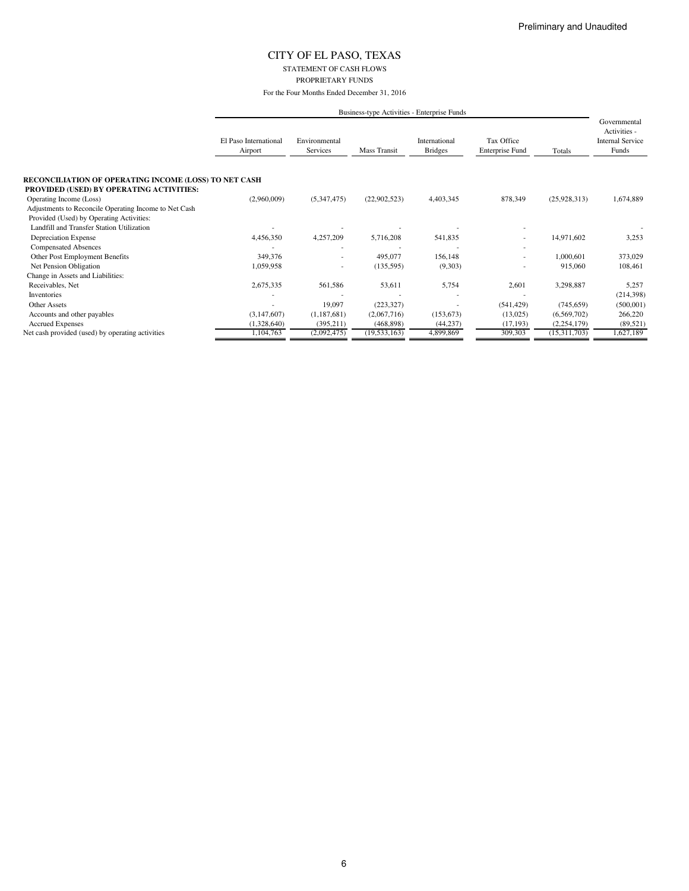#### STATEMENT OF CASH FLOWS PROPRIETARY FUNDS

For the Four Months Ended December 31, 2016

|                                                                                                          |                                  | Business-type Activities - Enterprise Funds |                |                                 |                                      |               |                                                                  |
|----------------------------------------------------------------------------------------------------------|----------------------------------|---------------------------------------------|----------------|---------------------------------|--------------------------------------|---------------|------------------------------------------------------------------|
|                                                                                                          | El Paso International<br>Airport | Environmental<br>Services                   | Mass Transit   | International<br><b>Bridges</b> | Tax Office<br><b>Enterprise Fund</b> | Totals        | Governmental<br>Activities -<br><b>Internal Service</b><br>Funds |
| RECONCILIATION OF OPERATING INCOME (LOSS) TO NET CASH<br><b>PROVIDED (USED) BY OPERATING ACTIVITIES:</b> |                                  |                                             |                |                                 |                                      |               |                                                                  |
| Operating Income (Loss)                                                                                  | (2,960,009)                      | (5,347,475)                                 | (22,902,523)   | 4,403,345                       | 878,349                              | (25,928,313)  | 1,674,889                                                        |
| Adjustments to Reconcile Operating Income to Net Cash                                                    |                                  |                                             |                |                                 |                                      |               |                                                                  |
| Provided (Used) by Operating Activities:                                                                 |                                  |                                             |                |                                 |                                      |               |                                                                  |
| Landfill and Transfer Station Utilization                                                                |                                  |                                             |                |                                 |                                      |               |                                                                  |
| <b>Depreciation Expense</b>                                                                              | 4,456,350                        | 4,257,209                                   | 5,716,208      | 541,835                         | ٠                                    | 14,971,602    | 3,253                                                            |
| <b>Compensated Absences</b>                                                                              |                                  |                                             |                |                                 |                                      |               |                                                                  |
| Other Post Employment Benefits                                                                           | 349,376                          |                                             | 495,077        | 156,148                         |                                      | 1,000,601     | 373,029                                                          |
| Net Pension Obligation                                                                                   | 1,059,958                        |                                             | (135, 595)     | (9,303)                         |                                      | 915,060       | 108,461                                                          |
| Change in Assets and Liabilities:                                                                        |                                  |                                             |                |                                 |                                      |               |                                                                  |
| Receivables, Net                                                                                         | 2,675,335                        | 561,586                                     | 53,611         | 5,754                           | 2,601                                | 3,298,887     | 5,257                                                            |
| Inventories                                                                                              |                                  |                                             |                |                                 |                                      |               | (214, 398)                                                       |
| <b>Other Assets</b>                                                                                      |                                  | 19,097                                      | (223, 327)     | ٠                               | (541, 429)                           | (745, 659)    | (500, 001)                                                       |
| Accounts and other payables                                                                              | (3,147,607)                      | (1,187,681)                                 | (2,067,716)    | (153, 673)                      | (13,025)                             | (6,569,702)   | 266,220                                                          |
| <b>Accrued Expenses</b>                                                                                  | (1,328,640)                      | (395, 211)                                  | (468, 898)     | (44, 237)                       | (17, 193)                            | (2, 254, 179) | (89, 521)                                                        |
| Net cash provided (used) by operating activities                                                         | 1,104,763                        | (2,092,475)                                 | (19, 533, 163) | 4,899,869                       | 309,303                              | (15,311,703)  | 1,627,189                                                        |

6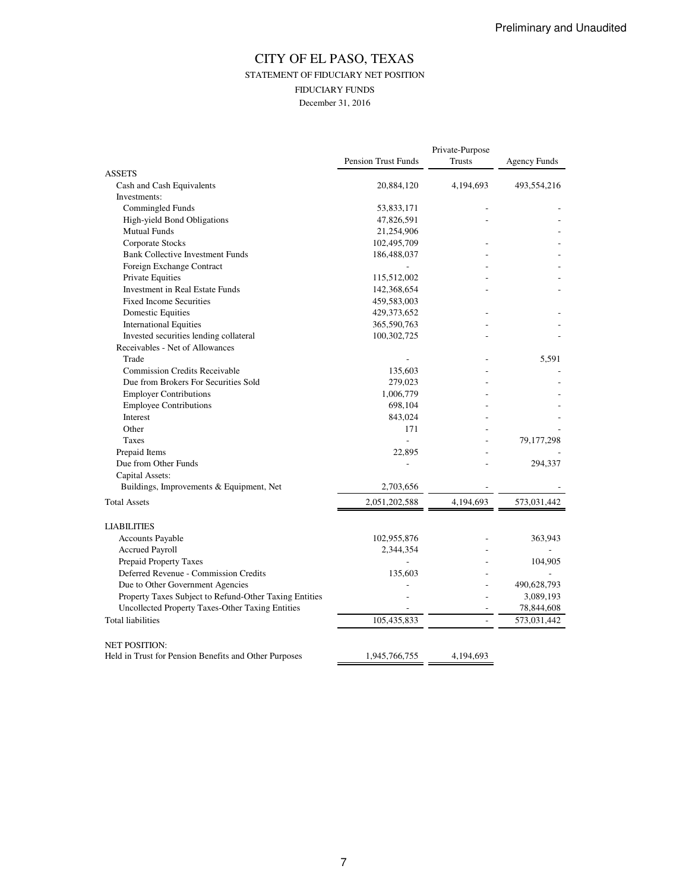### CITY OF EL PASO, TEXAS STATEMENT OF FIDUCIARY NET POSITION FIDUCIARY FUNDS December 31, 2016

|                                                                               | <b>Pension Trust Funds</b> | Private-Purpose<br><b>Trusts</b> | <b>Agency Funds</b> |
|-------------------------------------------------------------------------------|----------------------------|----------------------------------|---------------------|
| <b>ASSETS</b>                                                                 |                            |                                  |                     |
| Cash and Cash Equivalents                                                     | 20,884,120                 | 4,194,693                        | 493,554,216         |
| Investments:                                                                  |                            |                                  |                     |
| Commingled Funds                                                              | 53,833,171                 |                                  |                     |
| High-yield Bond Obligations                                                   | 47,826,591                 |                                  |                     |
| <b>Mutual Funds</b>                                                           | 21,254,906                 |                                  |                     |
| Corporate Stocks                                                              | 102,495,709                |                                  |                     |
| <b>Bank Collective Investment Funds</b>                                       | 186,488,037                |                                  |                     |
| Foreign Exchange Contract                                                     |                            |                                  |                     |
| Private Equities                                                              | 115,512,002                |                                  |                     |
| Investment in Real Estate Funds                                               | 142,368,654                |                                  |                     |
| <b>Fixed Income Securities</b>                                                | 459,583,003                |                                  |                     |
| <b>Domestic Equities</b>                                                      | 429, 373, 652              |                                  |                     |
| <b>International Equities</b>                                                 | 365,590,763                |                                  |                     |
| Invested securities lending collateral                                        | 100,302,725                |                                  |                     |
| Receivables - Net of Allowances                                               |                            |                                  |                     |
| Trade                                                                         |                            |                                  | 5,591               |
| <b>Commission Credits Receivable</b>                                          | 135,603                    |                                  |                     |
| Due from Brokers For Securities Sold                                          | 279,023                    |                                  |                     |
| <b>Employer Contributions</b>                                                 | 1,006,779                  |                                  |                     |
| <b>Employee Contributions</b>                                                 | 698,104                    |                                  |                     |
| Interest                                                                      | 843,024                    |                                  |                     |
| Other                                                                         | 171                        |                                  |                     |
| Taxes                                                                         | $\overline{\phantom{a}}$   |                                  | 79,177,298          |
| Prepaid Items                                                                 | 22,895                     |                                  |                     |
| Due from Other Funds                                                          |                            |                                  | 294,337             |
| Capital Assets:                                                               |                            |                                  |                     |
| Buildings, Improvements & Equipment, Net                                      | 2,703,656                  |                                  |                     |
|                                                                               |                            |                                  |                     |
| <b>Total Assets</b>                                                           | 2,051,202,588              | 4,194,693                        | 573,031,442         |
| <b>LIABILITIES</b>                                                            |                            |                                  |                     |
| Accounts Payable                                                              | 102,955,876                |                                  | 363,943             |
| Accrued Payroll                                                               | 2,344,354                  |                                  |                     |
| Prepaid Property Taxes                                                        |                            |                                  | 104,905             |
| Deferred Revenue - Commission Credits                                         | 135,603                    |                                  |                     |
| Due to Other Government Agencies                                              |                            |                                  | 490,628,793         |
| Property Taxes Subject to Refund-Other Taxing Entities                        |                            |                                  | 3,089,193           |
| Uncollected Property Taxes-Other Taxing Entities                              |                            |                                  | 78,844,608          |
| <b>Total liabilities</b>                                                      | 105,435,833                | $\overline{a}$                   | 573,031,442         |
|                                                                               |                            |                                  |                     |
| <b>NET POSITION:</b><br>Held in Trust for Pension Benefits and Other Purposes | 1,945,766,755              | 4,194,693                        |                     |
|                                                                               |                            |                                  |                     |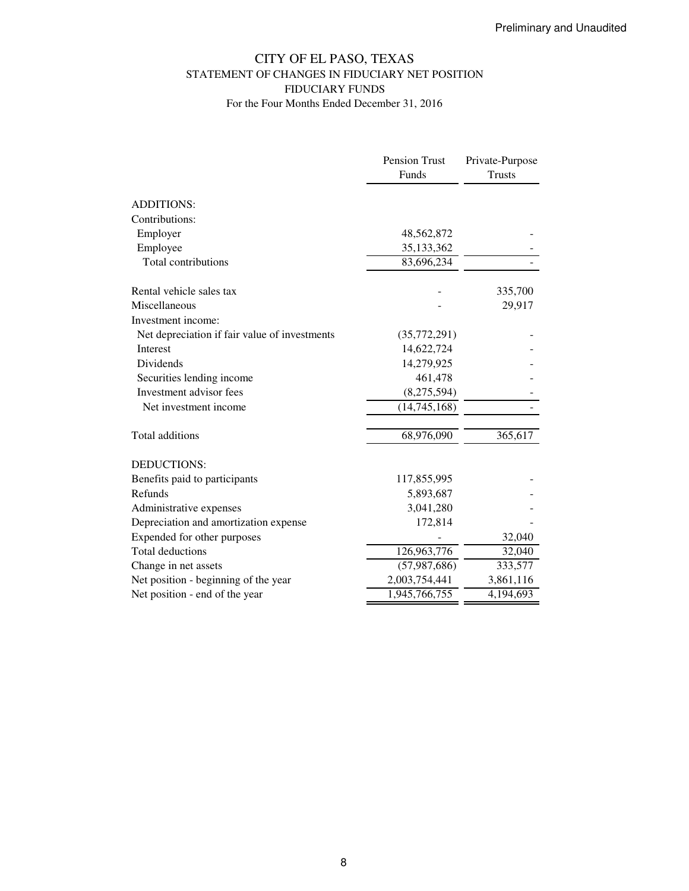### CITY OF EL PASO, TEXAS STATEMENT OF CHANGES IN FIDUCIARY NET POSITION FIDUCIARY FUNDS For the Four Months Ended December 31, 2016

|                                               | Pension Trust  | Private-Purpose |
|-----------------------------------------------|----------------|-----------------|
|                                               | Funds          | <b>Trusts</b>   |
| <b>ADDITIONS:</b>                             |                |                 |
| Contributions:                                |                |                 |
| Employer                                      | 48,562,872     |                 |
| Employee                                      | 35, 133, 362   |                 |
| Total contributions                           | 83,696,234     |                 |
| Rental vehicle sales tax                      |                | 335,700         |
| Miscellaneous                                 |                | 29,917          |
| Investment income:                            |                |                 |
| Net depreciation if fair value of investments | (35,772,291)   |                 |
| <b>Interest</b>                               | 14,622,724     |                 |
| Dividends                                     | 14,279,925     |                 |
| Securities lending income                     | 461,478        |                 |
| Investment advisor fees                       | (8,275,594)    |                 |
| Net investment income                         | (14,745,168)   |                 |
| Total additions                               | 68,976,090     | 365,617         |
| <b>DEDUCTIONS:</b>                            |                |                 |
| Benefits paid to participants                 | 117,855,995    |                 |
| Refunds                                       | 5,893,687      |                 |
| Administrative expenses                       | 3,041,280      |                 |
| Depreciation and amortization expense         | 172,814        |                 |
| Expended for other purposes                   |                | 32,040          |
| <b>Total deductions</b>                       | 126,963,776    | 32,040          |
| Change in net assets                          | (57, 987, 686) | 333,577         |
| Net position - beginning of the year          | 2,003,754,441  | 3,861,116       |
| Net position - end of the year                | 1,945,766,755  | 4,194,693       |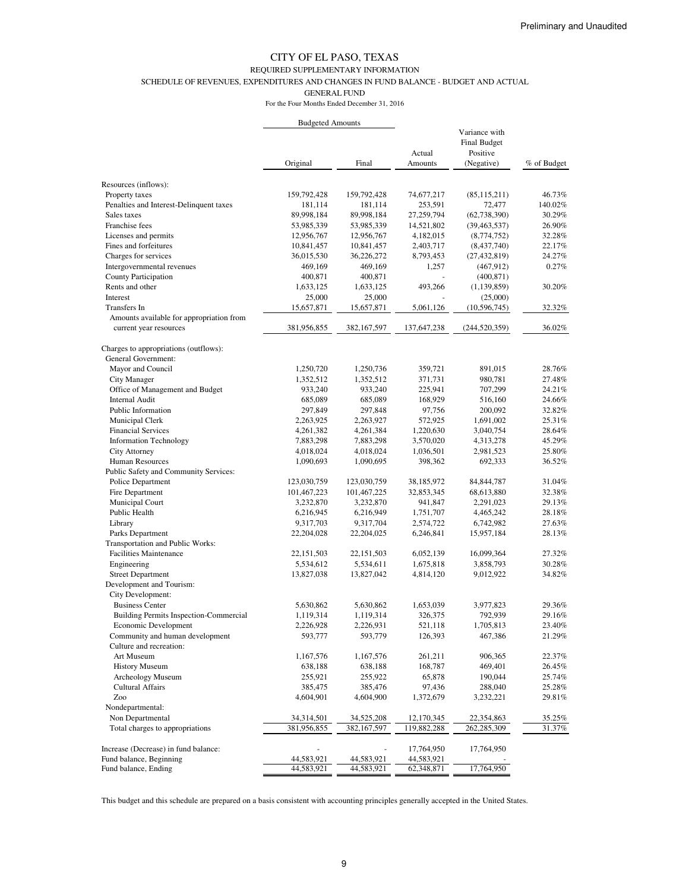#### REQUIRED SUPPLEMENTARY INFORMATION

SCHEDULE OF REVENUES, EXPENDITURES AND CHANGES IN FUND BALANCE - BUDGET AND ACTUAL

GENERAL FUND

For the Four Months Ended December 31, 2016

|                                               | <b>Budgeted Amounts</b> |               |             |                     |             |
|-----------------------------------------------|-------------------------|---------------|-------------|---------------------|-------------|
|                                               |                         |               |             | Variance with       |             |
|                                               |                         |               |             | <b>Final Budget</b> |             |
|                                               |                         |               | Actual      | Positive            |             |
|                                               | Original                | Final         | Amounts     | (Negative)          | % of Budget |
| Resources (inflows):                          |                         |               |             |                     |             |
| Property taxes                                | 159,792,428             | 159,792,428   | 74,677,217  | (85, 115, 211)      | 46.73%      |
| Penalties and Interest-Delinquent taxes       | 181,114                 | 181,114       | 253,591     | 72,477              | 140.02%     |
| Sales taxes                                   | 89,998,184              | 89,998,184    | 27,259,794  | (62, 738, 390)      | 30.29%      |
| Franchise fees                                | 53,985,339              | 53,985,339    | 14,521,802  | (39, 463, 537)      | 26.90%      |
| Licenses and permits                          | 12,956,767              | 12,956,767    | 4,182,015   | (8,774,752)         | 32.28%      |
| Fines and forfeitures                         | 10,841,457              | 10,841,457    | 2,403,717   | (8, 437, 740)       | 22.17%      |
| Charges for services                          | 36,015,530              | 36,226,272    | 8,793,453   | (27, 432, 819)      | 24.27%      |
| Intergovernmental revenues                    | 469,169                 | 469,169       | 1,257       | (467, 912)          | 0.27%       |
| County Participation                          | 400,871                 | 400,871       |             | (400, 871)          |             |
| Rents and other                               | 1,633,125               | 1,633,125     | 493,266     | (1, 139, 859)       | 30.20%      |
| Interest                                      | 25,000                  | 25,000        |             | (25,000)            |             |
| Transfers In                                  | 15,657,871              | 15,657,871    | 5,061,126   | (10, 596, 745)      | 32.32%      |
| Amounts available for appropriation from      |                         |               |             |                     |             |
| current year resources                        | 381,956,855             | 382, 167, 597 | 137,647,238 | (244, 520, 359)     | 36.02%      |
| Charges to appropriations (outflows):         |                         |               |             |                     |             |
| General Government:                           |                         |               |             |                     |             |
| Mayor and Council                             | 1,250,720               | 1,250,736     | 359,721     | 891,015             | 28.76%      |
| City Manager                                  | 1,352,512               | 1,352,512     | 371,731     | 980,781             | 27.48%      |
| Office of Management and Budget               | 933,240                 | 933,240       | 225,941     | 707,299             | 24.21%      |
| <b>Internal Audit</b>                         | 685,089                 | 685,089       | 168,929     | 516,160             | 24.66%      |
| Public Information                            | 297,849                 | 297,848       | 97,756      | 200,092             | 32.82%      |
| Municipal Clerk                               | 2,263,925               | 2,263,927     | 572,925     | 1,691,002           | 25.31%      |
| <b>Financial Services</b>                     | 4,261,382               | 4,261,384     | 1,220,630   | 3,040,754           | 28.64%      |
| <b>Information Technology</b>                 | 7,883,298               | 7,883,298     | 3,570,020   | 4,313,278           | 45.29%      |
| City Attorney                                 | 4,018,024               | 4,018,024     | 1,036,501   | 2,981,523           | 25.80%      |
| Human Resources                               | 1,090,693               | 1,090,695     | 398,362     | 692,333             | 36.52%      |
| Public Safety and Community Services:         |                         |               |             |                     |             |
| Police Department                             | 123,030,759             | 123,030,759   | 38,185,972  | 84, 844, 787        | 31.04%      |
| Fire Department                               | 101,467,223             | 101,467,225   | 32,853,345  | 68,613,880          | 32.38%      |
| Municipal Court                               | 3,232,870               | 3,232,870     | 941,847     | 2,291,023           | 29.13%      |
| Public Health                                 | 6,216,945               | 6,216,949     | 1,751,707   | 4,465,242           | 28.18%      |
| Library                                       | 9,317,703               | 9,317,704     | 2,574,722   | 6,742,982           | 27.63%      |
| Parks Department                              | 22,204,028              | 22,204,025    | 6,246,841   | 15,957,184          | 28.13%      |
| Transportation and Public Works:              |                         |               |             |                     |             |
| <b>Facilities Maintenance</b>                 | 22,151,503              | 22, 151, 503  | 6,052,139   | 16,099,364          | 27.32%      |
| Engineering                                   | 5,534,612               | 5,534,611     | 1,675,818   | 3,858,793           | 30.28%      |
| <b>Street Department</b>                      | 13,827,038              | 13,827,042    | 4,814,120   | 9,012,922           | 34.82%      |
| Development and Tourism:                      |                         |               |             |                     |             |
| City Development:                             |                         |               |             |                     |             |
| <b>Business Center</b>                        | 5,630,862               | 5,630,862     | 1,653,039   | 3,977,823           | 29.36%      |
| <b>Building Permits Inspection-Commercial</b> | 1,119,314               | 1,119,314     | 326,375     | 792,939             | 29.16%      |
| Economic Development                          | 2,226,928               | 2,226,931     | 521,118     | 1,705,813           | 23.40%      |
| Community and human development               | 593,777                 | 593,779       | 126,393     | 467,386             | 21.29%      |
| Culture and recreation:                       |                         |               |             |                     |             |
| Art Museum                                    | 1,167,576               | 1,167,576     | 261,211     | 906,365             | 22.37%      |
| <b>History Museum</b>                         | 638,188                 | 638,188       | 168,787     | 469,401             | 26.45%      |
| Archeology Museum                             | 255,921                 | 255,922       | 65,878      | 190,044             | 25.74%      |
| <b>Cultural Affairs</b>                       | 385,475                 | 385,476       | 97,436      | 288,040             | 25.28%      |
| Zoo                                           | 4,604,901               | 4,604,900     | 1,372,679   | 3,232,221           | 29.81%      |
| Nondepartmental:                              |                         |               |             |                     |             |
| Non Departmental                              | 34,314,501              | 34,525,208    | 12,170,345  | 22,354,863          | 35.25%      |
| Total charges to appropriations               | 381,956,855             | 382, 167, 597 | 119,882,288 | 262,285,309         | 31.37%      |
| Increase (Decrease) in fund balance:          |                         |               | 17,764,950  | 17,764,950          |             |
| Fund balance, Beginning                       | 44,583,921              | 44,583,921    | 44,583,921  |                     |             |
| Fund balance, Ending                          | 44,583,921              | 44,583,921    | 62,348,871  | 17,764,950          |             |
|                                               |                         |               |             |                     |             |

This budget and this schedule are prepared on a basis consistent with accounting principles generally accepted in the United States.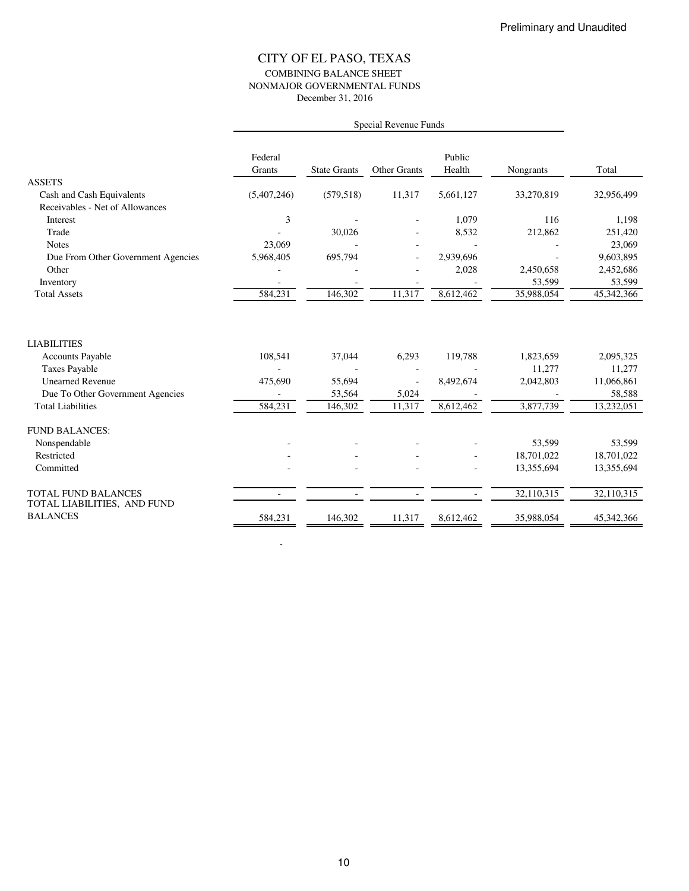### CITY OF EL PASO, TEXAS COMBINING BALANCE SHEET NONMAJOR GOVERNMENTAL FUNDS December 31, 2016

|                                                           | Special Revenue Funds |                     |                     |                  |            |            |
|-----------------------------------------------------------|-----------------------|---------------------|---------------------|------------------|------------|------------|
|                                                           | Federal<br>Grants     | <b>State Grants</b> | <b>Other Grants</b> | Public<br>Health | Nongrants  | Total      |
| <b>ASSETS</b>                                             |                       |                     |                     |                  |            |            |
| Cash and Cash Equivalents                                 | (5,407,246)           | (579, 518)          | 11,317              | 5,661,127        | 33,270,819 | 32,956,499 |
| Receivables - Net of Allowances                           |                       |                     |                     |                  |            |            |
| Interest                                                  | 3                     |                     |                     | 1,079            | 116        | 1,198      |
| Trade                                                     |                       | 30,026              |                     | 8,532            | 212,862    | 251,420    |
| <b>Notes</b>                                              | 23,069                |                     |                     |                  |            | 23,069     |
| Due From Other Government Agencies                        | 5,968,405             | 695,794             |                     | 2,939,696        |            | 9,603,895  |
| Other                                                     |                       |                     |                     | 2,028            | 2,450,658  | 2,452,686  |
| Inventory                                                 |                       |                     |                     |                  | 53,599     | 53,599     |
| <b>Total Assets</b>                                       | 584,231               | 146,302             | 11,317              | 8,612,462        | 35,988,054 | 45,342,366 |
| <b>LIABILITIES</b>                                        |                       |                     |                     |                  |            |            |
| <b>Accounts Payable</b>                                   | 108,541               | 37,044              | 6,293               | 119,788          | 1,823,659  | 2,095,325  |
| <b>Taxes Payable</b>                                      |                       |                     |                     |                  | 11,277     | 11,277     |
| <b>Unearned Revenue</b>                                   | 475,690               | 55,694              |                     | 8,492,674        | 2,042,803  | 11,066,861 |
| Due To Other Government Agencies                          |                       | 53,564              | 5,024               |                  |            | 58,588     |
| <b>Total Liabilities</b>                                  | 584,231               | 146,302             | 11,317              | 8,612,462        | 3,877,739  | 13,232,051 |
| <b>FUND BALANCES:</b>                                     |                       |                     |                     |                  |            |            |
| Nonspendable                                              |                       |                     |                     |                  | 53,599     | 53,599     |
| Restricted                                                |                       |                     |                     |                  | 18,701,022 | 18,701,022 |
| Committed                                                 |                       |                     |                     |                  | 13,355,694 | 13,355,694 |
| <b>TOTAL FUND BALANCES</b><br>TOTAL LIABILITIES, AND FUND | $\blacksquare$        | $\blacksquare$      | $\blacksquare$      | $\sim$           | 32,110,315 | 32,110,315 |
| <b>BALANCES</b>                                           | 584,231               | 146,302             | 11,317              | 8,612,462        | 35,988,054 | 45,342,366 |

-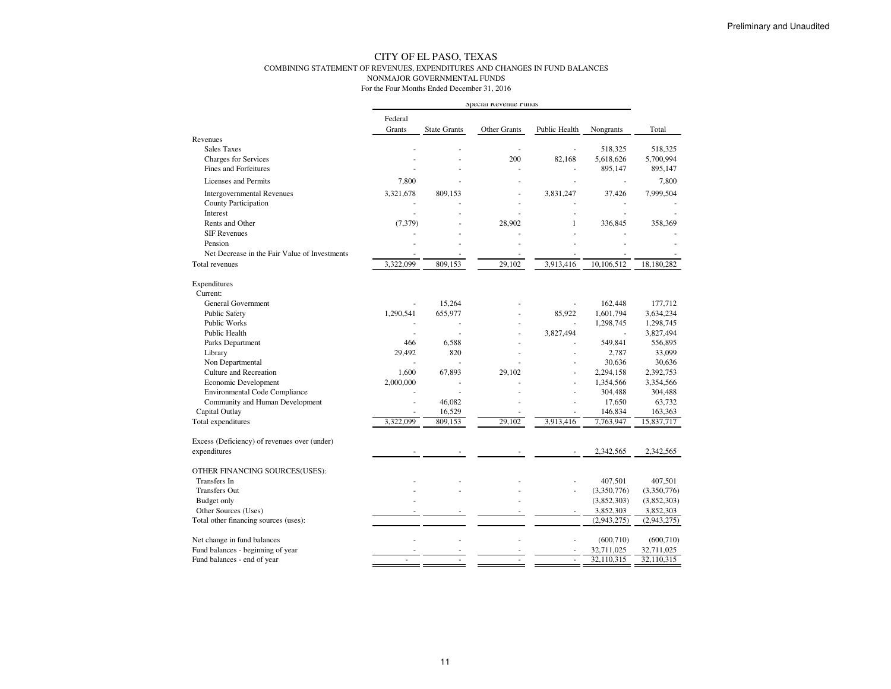#### CITY OF EL PASO, TEXAS COMBINING STATEMENT OF REVENUES, EXPENDITURES AND CHANGES IN FUND BALANCESNONMAJOR GOVERNMENTAL FUNDS

|                                               | Special Revenue runds |                     |                     |               |                          |                          |
|-----------------------------------------------|-----------------------|---------------------|---------------------|---------------|--------------------------|--------------------------|
|                                               | Federal               |                     |                     |               |                          |                          |
|                                               | Grants                | <b>State Grants</b> | <b>Other Grants</b> | Public Health | Nongrants                | Total                    |
| Revenues                                      |                       |                     |                     |               |                          |                          |
| <b>Sales Taxes</b>                            |                       |                     |                     |               | 518,325                  | 518,325                  |
| <b>Charges for Services</b>                   |                       |                     | 200                 | 82,168        | 5,618,626                | 5,700,994                |
| <b>Fines and Forfeitures</b>                  |                       |                     |                     | ä,            | 895,147                  | 895,147                  |
| Licenses and Permits                          | 7,800                 |                     |                     |               |                          | 7,800                    |
| <b>Intergovernmental Revenues</b>             | 3,321,678             | 809,153             |                     | 3,831,247     | 37,426                   | 7,999,504                |
| County Participation                          |                       |                     |                     |               |                          |                          |
| Interest                                      |                       |                     |                     |               |                          |                          |
| Rents and Other                               | (7, 379)              |                     | 28,902              | 1             | 336,845                  | 358,369                  |
| <b>SIF Revenues</b>                           |                       |                     |                     |               |                          |                          |
| Pension                                       |                       |                     |                     |               |                          |                          |
| Net Decrease in the Fair Value of Investments |                       |                     |                     |               |                          |                          |
| <b>Total revenues</b>                         | 3,322,099             | 809,153             | 29,102              | 3,913,416     | 10,106,512               | 18,180,282               |
| Expenditures                                  |                       |                     |                     |               |                          |                          |
| Current:                                      |                       |                     |                     |               |                          |                          |
| <b>General Government</b>                     |                       | 15,264              |                     |               | 162,448                  | 177.712                  |
| Public Safety                                 | 1,290,541             | 655,977             |                     | 85,922        | 1,601,794                | 3,634,234                |
| Public Works                                  |                       |                     |                     |               | 1,298,745                | 1,298,745                |
| Public Health                                 |                       |                     |                     | 3,827,494     | $\overline{\phantom{a}}$ | 3,827,494                |
| Parks Department                              | 466                   | 6,588               |                     |               | 549,841                  | 556,895                  |
| Library                                       | 29,492                | 820                 |                     |               | 2,787                    | 33,099                   |
| Non Departmental                              | ä,                    |                     |                     |               | 30,636                   | 30,636                   |
| <b>Culture and Recreation</b>                 | 1.600                 | 67,893              | 29,102              |               | 2,294,158                | 2,392,753                |
| Economic Development                          | 2,000,000             | ÷.                  |                     | ÷.            | 1,354,566                | 3,354,566                |
| <b>Environmental Code Compliance</b>          |                       | ä,                  |                     |               | 304,488                  | 304,488                  |
| Community and Human Development               |                       | 46,082              |                     |               | 17,650                   | 63,732                   |
| Capital Outlay                                |                       | 16,529              |                     |               | 146,834                  | 163,363                  |
| Total expenditures                            | 3,322,099             | 809,153             | 29,102              | 3,913,416     | 7,763,947                | 15,837,717               |
| Excess (Deficiency) of revenues over (under)  |                       |                     |                     |               |                          |                          |
| expenditures                                  |                       |                     |                     |               | 2,342,565                | 2,342,565                |
| OTHER FINANCING SOURCES(USES):                |                       |                     |                     |               |                          |                          |
| <b>Transfers</b> In                           |                       |                     |                     |               | 407,501                  | 407,501                  |
| <b>Transfers Out</b>                          |                       |                     |                     |               | (3,350,776)              | (3,350,776)              |
| Budget only                                   |                       |                     |                     |               | (3,852,303)              | (3,852,303)              |
| Other Sources (Uses)                          |                       |                     |                     | ä,            | 3,852,303                | 3,852,303                |
| Total other financing sources (uses):         |                       |                     |                     |               | (2,943,275)              | (2,943,275)              |
|                                               |                       |                     |                     |               |                          |                          |
| Net change in fund balances                   |                       |                     |                     |               | (600, 710)               | (600, 710)               |
| Fund balances - beginning of year             |                       |                     |                     |               | 32,711,025<br>32,110,315 | 32,711,025<br>32,110,315 |
| Fund balances - end of year                   |                       |                     |                     |               |                          |                          |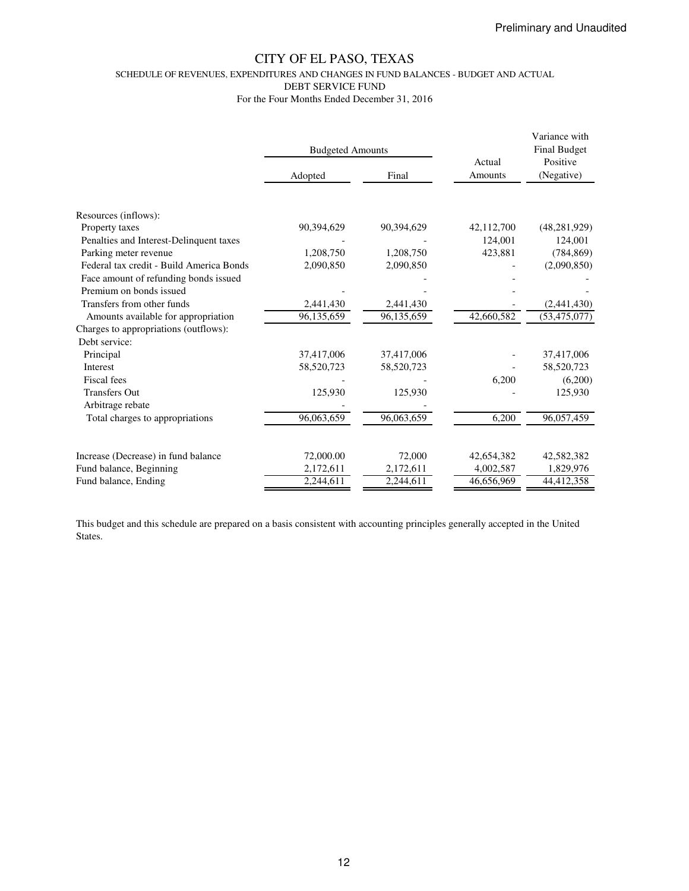SCHEDULE OF REVENUES, EXPENDITURES AND CHANGES IN FUND BALANCES - BUDGET AND ACTUAL

DEBT SERVICE FUND

For the Four Months Ended December 31, 2016

|                                          | <b>Budgeted Amounts</b> |            | Actual     | Variance with<br><b>Final Budget</b><br>Positive |  |
|------------------------------------------|-------------------------|------------|------------|--------------------------------------------------|--|
|                                          | Adopted                 | Final      | Amounts    | (Negative)                                       |  |
|                                          |                         |            |            |                                                  |  |
| Resources (inflows):                     |                         |            |            |                                                  |  |
| Property taxes                           | 90,394,629              | 90,394,629 | 42,112,700 | (48, 281, 929)                                   |  |
| Penalties and Interest-Delinquent taxes  |                         |            | 124,001    | 124,001                                          |  |
| Parking meter revenue                    | 1,208,750               | 1,208,750  | 423,881    | (784, 869)                                       |  |
| Federal tax credit - Build America Bonds | 2,090,850               | 2,090,850  |            | (2,090,850)                                      |  |
| Face amount of refunding bonds issued    |                         |            |            |                                                  |  |
| Premium on bonds issued                  |                         |            |            |                                                  |  |
| Transfers from other funds               | 2,441,430               | 2,441,430  |            | (2,441,430)                                      |  |
| Amounts available for appropriation      | 96,135,659              | 96,135,659 | 42,660,582 | (53, 475, 077)                                   |  |
| Charges to appropriations (outflows):    |                         |            |            |                                                  |  |
| Debt service:                            |                         |            |            |                                                  |  |
| Principal                                | 37,417,006              | 37,417,006 |            | 37,417,006                                       |  |
| Interest                                 | 58,520,723              | 58,520,723 |            | 58,520,723                                       |  |
| Fiscal fees                              |                         |            | 6,200      | (6,200)                                          |  |
| <b>Transfers Out</b>                     | 125,930                 | 125,930    |            | 125,930                                          |  |
| Arbitrage rebate                         |                         |            |            |                                                  |  |
| Total charges to appropriations          | 96,063,659              | 96,063,659 | 6,200      | 96,057,459                                       |  |
|                                          |                         |            |            |                                                  |  |
| Increase (Decrease) in fund balance      | 72,000.00               | 72,000     | 42,654,382 | 42,582,382                                       |  |
| Fund balance, Beginning                  | 2,172,611               | 2,172,611  | 4,002,587  | 1,829,976                                        |  |
| Fund balance, Ending                     | 2,244,611               | 2,244,611  | 46,656,969 | 44,412,358                                       |  |

This budget and this schedule are prepared on a basis consistent with accounting principles generally accepted in the United States.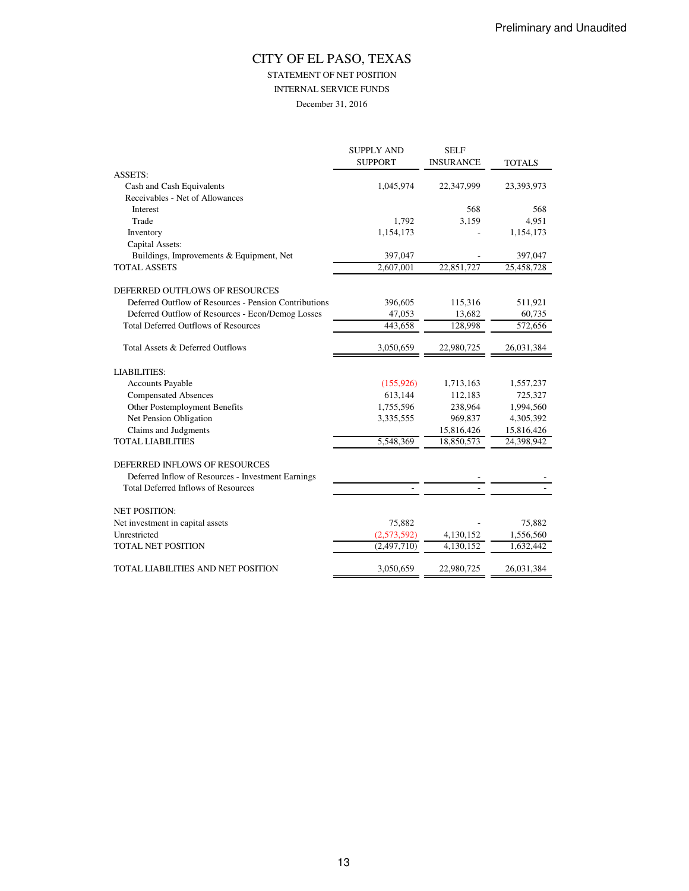STATEMENT OF NET POSITION

INTERNAL SERVICE FUNDS

December 31, 2016

|                                                       | <b>SUPPLY AND</b><br><b>SUPPORT</b> | <b>SELF</b><br><b>INSURANCE</b> | <b>TOTALS</b> |
|-------------------------------------------------------|-------------------------------------|---------------------------------|---------------|
| <b>ASSETS:</b>                                        |                                     |                                 |               |
| Cash and Cash Equivalents                             | 1,045,974                           | 22,347,999                      | 23,393,973    |
| Receivables - Net of Allowances                       |                                     |                                 |               |
| Interest                                              |                                     | 568                             | 568           |
| Trade                                                 | 1,792                               | 3,159                           | 4,951         |
| Inventory                                             | 1,154,173                           |                                 | 1,154,173     |
| Capital Assets:                                       |                                     |                                 |               |
| Buildings, Improvements & Equipment, Net              | 397,047                             |                                 | 397,047       |
| <b>TOTAL ASSETS</b>                                   | 2,607,001                           | 22,851,727                      | 25,458,728    |
| DEFERRED OUTFLOWS OF RESOURCES                        |                                     |                                 |               |
| Deferred Outflow of Resources - Pension Contributions | 396,605                             | 115,316                         | 511,921       |
| Deferred Outflow of Resources - Econ/Demog Losses     | 47,053                              | 13,682                          | 60,735        |
| <b>Total Deferred Outflows of Resources</b>           | 443,658                             | 128,998                         | 572,656       |
| Total Assets & Deferred Outflows                      | 3,050,659                           | 22,980,725                      | 26,031,384    |
| <b>LIABILITIES:</b>                                   |                                     |                                 |               |
| <b>Accounts Payable</b>                               | (155, 926)                          | 1,713,163                       | 1,557,237     |
| <b>Compensated Absences</b>                           | 613,144                             | 112,183                         | 725,327       |
| Other Postemployment Benefits                         | 1,755,596                           | 238,964                         | 1,994,560     |
| Net Pension Obligation                                | 3,335,555                           | 969,837                         | 4,305,392     |
| Claims and Judgments                                  |                                     | 15,816,426                      | 15,816,426    |
| <b>TOTAL LIABILITIES</b>                              | 5,548,369                           | 18,850,573                      | 24,398,942    |
| DEFERRED INFLOWS OF RESOURCES                         |                                     |                                 |               |
| Deferred Inflow of Resources - Investment Earnings    |                                     |                                 |               |
| <b>Total Deferred Inflows of Resources</b>            |                                     |                                 |               |
| <b>NET POSITION:</b>                                  |                                     |                                 |               |
| Net investment in capital assets                      | 75,882                              |                                 | 75,882        |
| Unrestricted                                          | (2,573,592)                         | 4,130,152                       | 1,556,560     |
| <b>TOTAL NET POSITION</b>                             | (2, 497, 710)                       | 4,130,152                       | 1,632,442     |
| TOTAL LIABILITIES AND NET POSITION                    | 3,050,659                           | 22,980,725                      | 26,031,384    |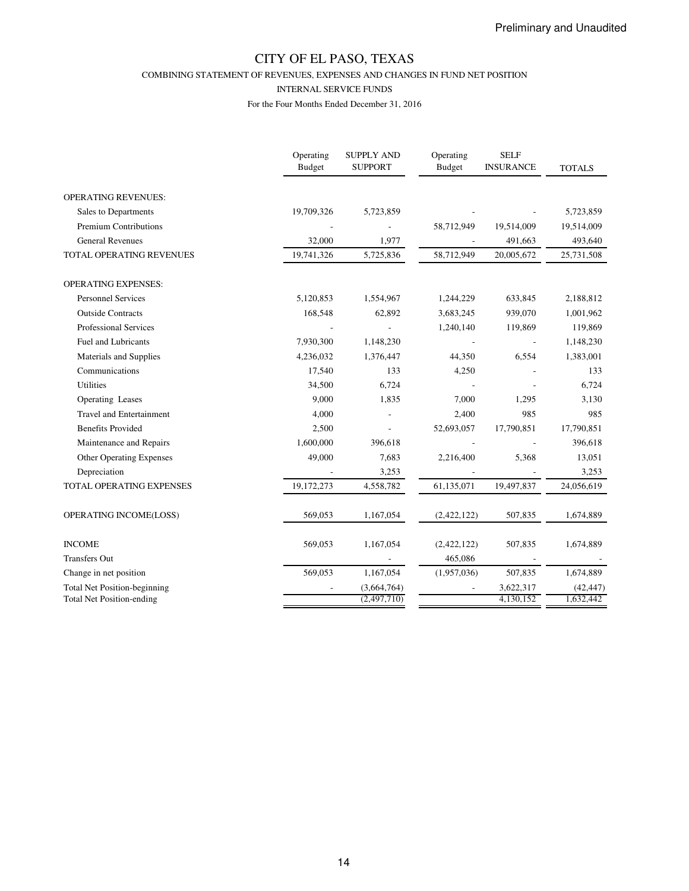COMBINING STATEMENT OF REVENUES, EXPENSES AND CHANGES IN FUND NET POSITION

#### INTERNAL SERVICE FUNDS

|                                                                         | Operating<br><b>Budget</b> | <b>SUPPLY AND</b><br><b>SUPPORT</b> | Operating<br><b>Budget</b> | <b>SELF</b><br><b>INSURANCE</b> | <b>TOTALS</b>          |
|-------------------------------------------------------------------------|----------------------------|-------------------------------------|----------------------------|---------------------------------|------------------------|
| <b>OPERATING REVENUES:</b>                                              |                            |                                     |                            |                                 |                        |
| Sales to Departments                                                    | 19,709,326                 | 5,723,859                           |                            |                                 | 5,723,859              |
| <b>Premium Contributions</b>                                            |                            |                                     | 58,712,949                 | 19,514,009                      | 19,514,009             |
| <b>General Revenues</b>                                                 | 32,000                     | 1,977                               |                            | 491,663                         | 493,640                |
| TOTAL OPERATING REVENUES                                                | 19,741,326                 | 5,725,836                           | 58,712,949                 | 20,005,672                      | 25,731,508             |
| <b>OPERATING EXPENSES:</b>                                              |                            |                                     |                            |                                 |                        |
| <b>Personnel Services</b>                                               | 5,120,853                  | 1,554,967                           | 1,244,229                  | 633,845                         | 2,188,812              |
| <b>Outside Contracts</b>                                                | 168,548                    | 62,892                              | 3,683,245                  | 939,070                         | 1,001,962              |
| Professional Services                                                   |                            |                                     | 1,240,140                  | 119,869                         | 119,869                |
| <b>Fuel and Lubricants</b>                                              | 7,930,300                  | 1,148,230                           |                            |                                 | 1,148,230              |
| Materials and Supplies                                                  | 4,236,032                  | 1,376,447                           | 44,350                     | 6,554                           | 1,383,001              |
| Communications                                                          | 17,540                     | 133                                 | 4,250                      |                                 | 133                    |
| <b>Utilities</b>                                                        | 34,500                     | 6,724                               |                            |                                 | 6,724                  |
| Operating Leases                                                        | 9,000                      | 1,835                               | 7,000                      | 1,295                           | 3,130                  |
| <b>Travel and Entertainment</b>                                         | 4,000                      |                                     | 2,400                      | 985                             | 985                    |
| <b>Benefits Provided</b>                                                | 2,500                      |                                     | 52,693,057                 | 17,790,851                      | 17,790,851             |
| Maintenance and Repairs                                                 | 1,600,000                  | 396,618                             |                            |                                 | 396,618                |
| <b>Other Operating Expenses</b>                                         | 49,000                     | 7,683                               | 2,216,400                  | 5,368                           | 13,051                 |
| Depreciation                                                            |                            | 3,253                               |                            |                                 | 3,253                  |
| TOTAL OPERATING EXPENSES                                                | 19,172,273                 | 4,558,782                           | 61,135,071                 | 19,497,837                      | 24,056,619             |
| OPERATING INCOME(LOSS)                                                  | 569,053                    | 1,167,054                           | (2,422,122)                | 507,835                         | 1,674,889              |
| <b>INCOME</b>                                                           | 569,053                    | 1,167,054                           | (2,422,122)                | 507,835                         | 1,674,889              |
| <b>Transfers Out</b>                                                    |                            |                                     | 465,086                    |                                 |                        |
| Change in net position                                                  | 569,053                    | 1,167,054                           | (1,957,036)                | 507,835                         | 1,674,889              |
| <b>Total Net Position-beginning</b><br><b>Total Net Position-ending</b> |                            | (3,664,764)<br>(2,497,710)          |                            | 3,622,317<br>4,130,152          | (42, 447)<br>1,632,442 |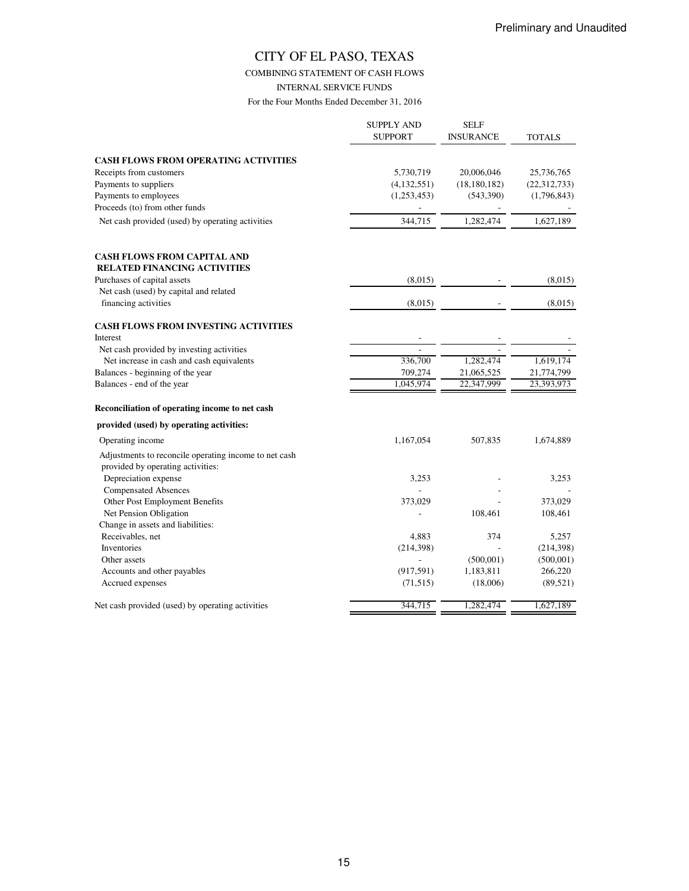#### COMBINING STATEMENT OF CASH FLOWS

INTERNAL SERVICE FUNDS

|                                                          | <b>SUPPLY AND</b><br><b>SUPPORT</b> | <b>SELF</b><br><b>INSURANCE</b> | TOTALS         |
|----------------------------------------------------------|-------------------------------------|---------------------------------|----------------|
| <b>CASH FLOWS FROM OPERATING ACTIVITIES</b>              |                                     |                                 |                |
| Receipts from customers                                  | 5,730,719                           | 20,006,046                      | 25,736,765     |
| Payments to suppliers                                    | (4,132,551)                         | (18, 180, 182)                  | (22, 312, 733) |
| Payments to employees                                    | (1,253,453)                         | (543,390)                       | (1,796,843)    |
| Proceeds (to) from other funds                           |                                     |                                 |                |
| Net cash provided (used) by operating activities         | 344,715                             | 1,282,474                       | 1,627,189      |
| <b>CASH FLOWS FROM CAPITAL AND</b>                       |                                     |                                 |                |
| <b>RELATED FINANCING ACTIVITIES</b>                      |                                     |                                 |                |
| Purchases of capital assets                              | (8,015)                             |                                 | (8,015)        |
| Net cash (used) by capital and related                   |                                     |                                 |                |
| financing activities                                     | (8,015)                             |                                 | (8,015)        |
| <b>CASH FLOWS FROM INVESTING ACTIVITIES</b>              |                                     |                                 |                |
| Interest                                                 |                                     |                                 |                |
| Net cash provided by investing activities                |                                     |                                 |                |
| Net increase in cash and cash equivalents                | 336,700                             | 1,282,474                       | 1,619,174      |
| Balances - beginning of the year                         | 709,274                             | 21,065,525                      | 21,774,799     |
| Balances - end of the year                               | 1,045,974                           | 22,347,999                      | 23,393,973     |
| Reconciliation of operating income to net cash           |                                     |                                 |                |
| provided (used) by operating activities:                 |                                     |                                 |                |
| Operating income                                         | 1,167,054                           | 507,835                         | 1,674,889      |
| Adjustments to reconcile operating income to net cash    |                                     |                                 |                |
| provided by operating activities:                        |                                     |                                 |                |
| Depreciation expense                                     | 3,253                               |                                 | 3,253          |
| <b>Compensated Absences</b>                              |                                     |                                 | 373,029        |
| Other Post Employment Benefits<br>Net Pension Obligation | 373,029                             | 108,461                         | 108,461        |
| Change in assets and liabilities:                        |                                     |                                 |                |
| Receivables, net                                         | 4,883                               | 374                             | 5,257          |
| Inventories                                              | (214, 398)                          |                                 | (214, 398)     |
| Other assets                                             |                                     | (500, 001)                      | (500, 001)     |
| Accounts and other payables                              | (917, 591)                          | 1,183,811                       | 266,220        |
| Accrued expenses                                         | (71, 515)                           | (18,006)                        | (89, 521)      |
| Net cash provided (used) by operating activities         | 344,715                             | 1,282,474                       | 1,627,189      |
|                                                          |                                     |                                 |                |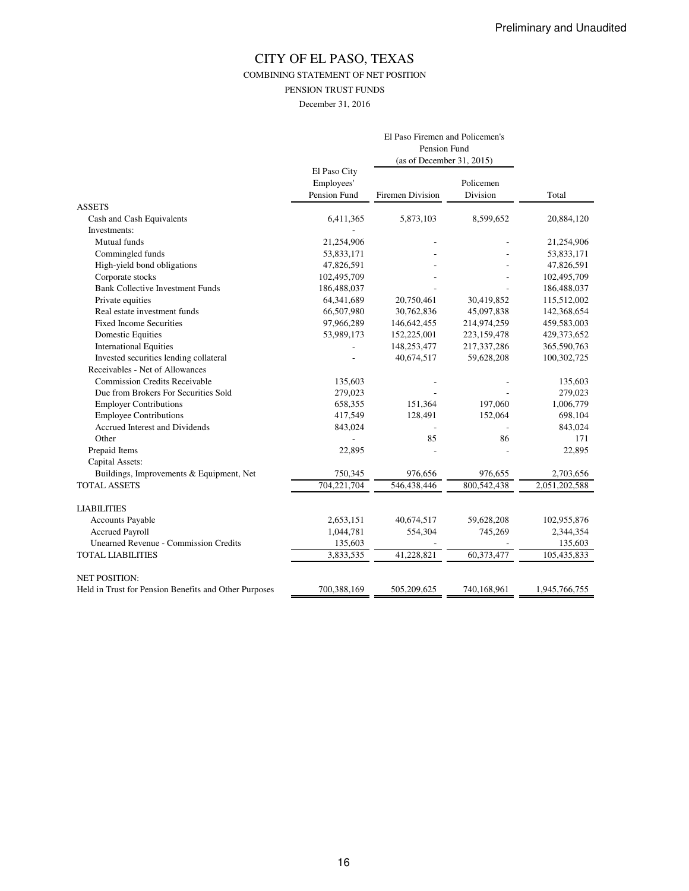COMBINING STATEMENT OF NET POSITION

PENSION TRUST FUNDS

December 31, 2016

|                                                       |                                            | El Paso Firemen and Policemen's<br>Pension Fund<br>(as of December 31, 2015) |                       |               |
|-------------------------------------------------------|--------------------------------------------|------------------------------------------------------------------------------|-----------------------|---------------|
|                                                       | El Paso City<br>Employees'<br>Pension Fund | Firemen Division                                                             | Policemen<br>Division | Total         |
| <b>ASSETS</b>                                         |                                            |                                                                              |                       |               |
| Cash and Cash Equivalents                             | 6,411,365                                  | 5,873,103                                                                    | 8,599,652             | 20,884,120    |
| Investments:                                          |                                            |                                                                              |                       |               |
| Mutual funds                                          | 21,254,906                                 |                                                                              |                       | 21,254,906    |
| Commingled funds                                      | 53,833,171                                 |                                                                              |                       | 53,833,171    |
| High-yield bond obligations                           | 47,826,591                                 |                                                                              |                       | 47,826,591    |
| Corporate stocks                                      | 102,495,709                                |                                                                              |                       | 102,495,709   |
| <b>Bank Collective Investment Funds</b>               | 186,488,037                                |                                                                              |                       | 186,488,037   |
| Private equities                                      | 64,341,689                                 | 20,750,461                                                                   | 30,419,852            | 115,512,002   |
| Real estate investment funds                          | 66,507,980                                 | 30,762,836                                                                   | 45,097,838            | 142,368,654   |
| <b>Fixed Income Securities</b>                        | 97,966,289                                 | 146, 642, 455                                                                | 214,974,259           | 459,583,003   |
| <b>Domestic Equities</b>                              | 53,989,173                                 | 152,225,001                                                                  | 223,159,478           | 429,373,652   |
| <b>International Equities</b>                         |                                            | 148,253,477                                                                  | 217,337,286           | 365,590,763   |
| Invested securities lending collateral                |                                            | 40,674,517                                                                   | 59,628,208            | 100,302,725   |
| Receivables - Net of Allowances                       |                                            |                                                                              |                       |               |
| <b>Commission Credits Receivable</b>                  | 135,603                                    |                                                                              |                       | 135,603       |
| Due from Brokers For Securities Sold                  | 279,023                                    |                                                                              |                       | 279,023       |
| <b>Employer Contributions</b>                         | 658,355                                    | 151,364                                                                      | 197,060               | 1,006,779     |
| <b>Employee Contributions</b>                         | 417,549                                    | 128,491                                                                      | 152,064               | 698,104       |
| Accrued Interest and Dividends                        | 843,024                                    |                                                                              |                       | 843,024       |
| Other                                                 |                                            | 85                                                                           | 86                    | 171           |
| Prepaid Items                                         | 22,895                                     |                                                                              |                       | 22,895        |
| Capital Assets:                                       |                                            |                                                                              |                       |               |
| Buildings, Improvements & Equipment, Net              | 750,345                                    | 976,656                                                                      | 976,655               | 2,703,656     |
| <b>TOTAL ASSETS</b>                                   | 704,221,704                                | 546,438,446                                                                  | 800,542,438           | 2,051,202,588 |
| <b>LIABILITIES</b>                                    |                                            |                                                                              |                       |               |
| Accounts Payable                                      | 2,653,151                                  | 40,674,517                                                                   | 59,628,208            | 102,955,876   |
| <b>Accrued Payroll</b>                                | 1,044,781                                  | 554,304                                                                      | 745,269               | 2,344,354     |
| <b>Unearned Revenue - Commission Credits</b>          | 135,603                                    |                                                                              |                       | 135,603       |
| <b>TOTAL LIABILITIES</b>                              | 3,833,535                                  | 41,228,821                                                                   | 60,373,477            | 105,435,833   |
| <b>NET POSITION:</b>                                  |                                            |                                                                              |                       |               |
| Held in Trust for Pension Benefits and Other Purposes | 700,388,169                                | 505,209,625                                                                  | 740,168,961           | 1,945,766,755 |